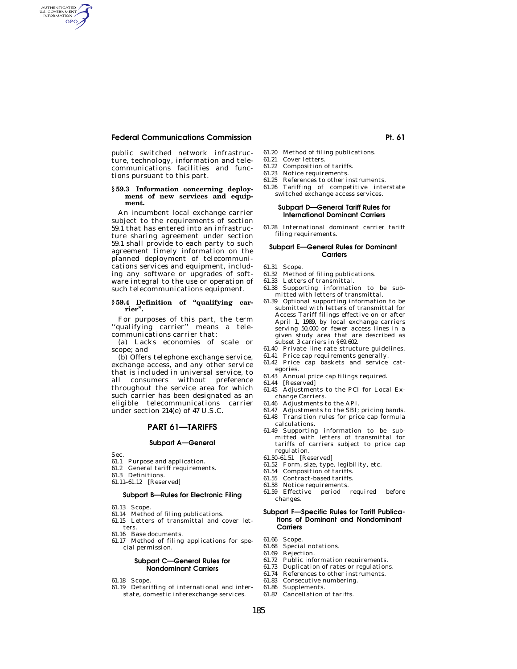## **Federal Communications Commission Pt. 61 and Pt. 61 and Pt. 61 and Pt. 61 and Pt. 61 and Pt. 61 and Pt. 61 and Pt. 61 and Pt. 61 and Pt. 61 and Pt. 61 and Pt. 61 and Pt. 61 and Pt. 61 and Pt. 61 and Pt. 61 and Pt. 61 and**

public switched network infrastructure, technology, information and telecommunications facilities and functions pursuant to this part.

#### **§ 59.3 Information concerning deployment of new services and equipment.**

An incumbent local exchange carrier subject to the requirements of section 59.1 that has entered into an infrastructure sharing agreement under section 59.1 shall provide to each party to such agreement timely information on the planned deployment of telecommunications services and equipment, including any software or upgrades of software integral to the use or operation of such telecommunications equipment.

#### **§ 59.4 Definition of ''qualifying carrier''.**

For purposes of this part, the term ''qualifying carrier'' means a telecommunications carrier that:

(a) Lacks economies of scale or scope; and

(b) Offers telephone exchange service, exchange access, and any other service that is included in universal service, to all consumers without preference throughout the service area for which such carrier has been designated as an eligible telecommunications carrier under section 214(e) of 47 U.S.C.

## **PART 61—TARIFFS**

#### **Subpart A—General**

Sec.

AUTHENTICATED<br>U.S. GOVERNMENT<br>INFORMATION **GPO** 

- 61.1 Purpose and application.
- 61.2 General tariff requirements.
- 61.3 Definitions.
- 61.11–61.12 [Reserved]

## **Subpart B—Rules for Electronic Filing**

- 61.13 Scope.
- 61.14 Method of filing publications.
- 61.15 Letters of transmittal and cover letters.
- 61.16 Base documents.
- 61.17 Method of filing applications for special permission.

#### **Subpart C—General Rules for Nondominant Carriers**

- 61.18 Scope.
- 61.19 Detariffing of international and interstate, domestic interexchange services.
- 61.20 Method of filing publications.
- 61.21 Cover letters.
- 61.22 Composition of tariffs. 61.23 Notice requirements.
- 
- 61.25 References to other instruments. 61.26 Tariffing of competitive interstate switched exchange access services.

#### **Subpart D—General Tariff Rules for International Dominant Carriers**

61.28 International dominant carrier tariff filing requirements.

#### **Subpart E—General Rules for Dominant Carriers**

- 61.31 Scope.
- 61.32 Method of filing publications.
- 61.33 Letters of transmittal.
- 61.38 Supporting information to be submitted with letters of transmittal.
- 61.39 Optional supporting information to be submitted with letters of transmittal for Access Tariff filings effective on or after April 1, 1989, by local exchange carriers serving 50,000 or fewer access lines in a given study area that are described as subset 3 carriers in §69.602.
- 61.40 Private line rate structure guidelines.
- 61.41 Price cap requirements generally.
- 61.42 Price cap baskets and service categories.
- 61.43 Annual price cap filings required.
- 61.44 [Reserved]
- 61.45 Adjustments to the PCI for Local Exchange Carriers.
- 61.46 Adjustments to the API.
- 61.47 Adjustments to the SBI; pricing bands.
- 61.48 Transition rules for price cap formula calculations.
- 61.49 Supporting information to be submitted with letters of transmittal for tariffs of carriers subject to price cap regulation.
- 61.50–61.51 [Reserved]
- 61.52 Form, size, type, legibility, etc.
- 61.54 Composition of tariffs.
- 61.55 Contract-based tariffs.
- 61.58 Notice requirements.
- 61.59 Effective period required before changes.

#### **Subpart F—Specific Rules for Tariff Publications of Dominant and Nondominant Carriers**

- 61.66 Scope.
- 61.68 Special notations.<br>61.69 Rejection.
- 61.69 Rejection.
- Public information requirements.
- 61.73 Duplication of rates or regulations.
- 61.74 References to other instruments.
- 61.83 Consecutive numbering.
- 61.86 Supplements.
- 61.87 Cancellation of tariffs.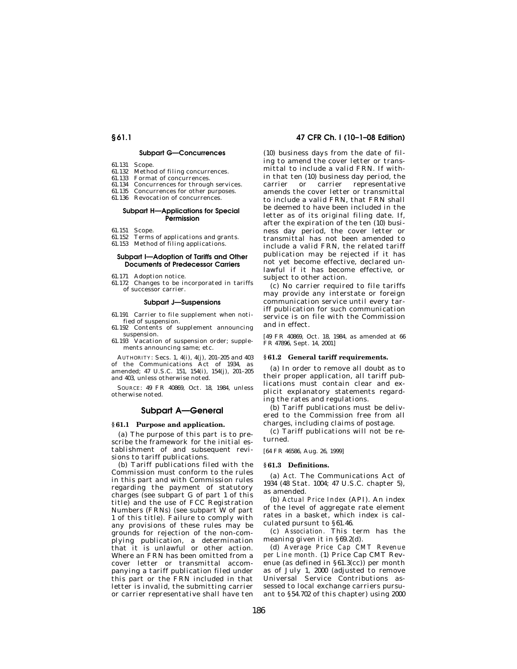## **Subpart G—Concurrences**

- 61.131 Scope.
- 61.132 Method of filing concurrences.
- 61.133 Format of concurrences.
- 61.134 Concurrences for through services. 61.135 Concurrences for other purposes.
- 61.136 Revocation of concurrences.
- 

## **Subpart H—Applications for Special Permission**

- 61.151 Scope.
- 61.152 Terms of applications and grants. 61.153 Method of filing applications.
- 

#### **Subpart I—Adoption of Tariffs and Other Documents of Predecessor Carriers**

- 61.171 Adoption notice.
- 61.172 Changes to be incorporated in tariffs of successor carrier.

#### **Subpart J—Suspensions**

61.191 Carrier to file supplement when notified of suspension.

- 61.192 Contents of supplement announcing suspension.
- 61.193 Vacation of suspension order; supplements announcing same; etc.

AUTHORITY: Secs. 1, 4(i), 4(j), 201–205 and 403 of the Communications Act of 1934, as amended; 47 U.S.C. 151, 154(i), 154(j), 201–205 and 403, unless otherwise noted.

SOURCE: 49 FR 40869, Oct. 18, 1984, unless otherwise noted.

## **Subpart A—General**

#### **§ 61.1 Purpose and application.**

(a) The purpose of this part is to prescribe the framework for the initial establishment of and subsequent revisions to tariff publications.

(b) Tariff publications filed with the Commission must conform to the rules in this part and with Commission rules regarding the payment of statutory charges (see subpart G of part 1 of this title) and the use of FCC Registration Numbers (FRNs) (see subpart W of part 1 of this title). Failure to comply with any provisions of these rules may be grounds for rejection of the non-complying publication, a determination that it is unlawful or other action. Where an FRN has been omitted from a cover letter or transmittal accompanying a tariff publication filed under this part or the FRN included in that letter is invalid, the submitting carrier or carrier representative shall have ten

## **§ 61.1 47 CFR Ch. I (10–1–08 Edition)**

(10) business days from the date of filing to amend the cover letter or transmittal to include a valid FRN. If within that ten (10) business day period, the carrier or carrier representative amends the cover letter or transmittal to include a valid FRN, that FRN shall be deemed to have been included in the letter as of its original filing date. If, after the expiration of the ten (10) business day period, the cover letter or transmittal has not been amended to include a valid FRN, the related tariff publication may be rejected if it has not yet become effective, declared unlawful if it has become effective, or subject to other action.

(c) No carrier required to file tariffs may provide any interstate or foreign communication service until every tariff publication for such communication service is on file with the Commission and in effect.

[49 FR 40869, Oct. 18, 1984, as amended at 66 FR 47896, Sept. 14, 2001]

## **§ 61.2 General tariff requirements.**

(a) In order to remove all doubt as to their proper application, all tariff publications must contain clear and explicit explanatory statements regarding the rates and regulations.

(b) Tariff publications must be delivered to the Commission free from all charges, including claims of postage.

(c) Tariff publications will not be returned.

[64 FR 46586, Aug. 26, 1999]

#### **§ 61.3 Definitions.**

(a) *Act.* The Communications Act of 1934 (48 Stat. 1004; 47 U.S.C. chapter 5), as amended.

(b) *Actual Price Index* (API). An index of the level of aggregate rate element rates in a basket, which index is calculated pursunt to §61.46.

(c) *Association.* This term has the meaning given it in §69.2(d).

(d) *Average Price Cap CMT Revenue per Line month.* (1) Price Cap CMT Revenue (as defined in §61.3(cc)) per month as of July 1, 2000 (adjusted to remove Universal Service Contributions assessed to local exchange carriers pursuant to §54.702 of this chapter) using 2000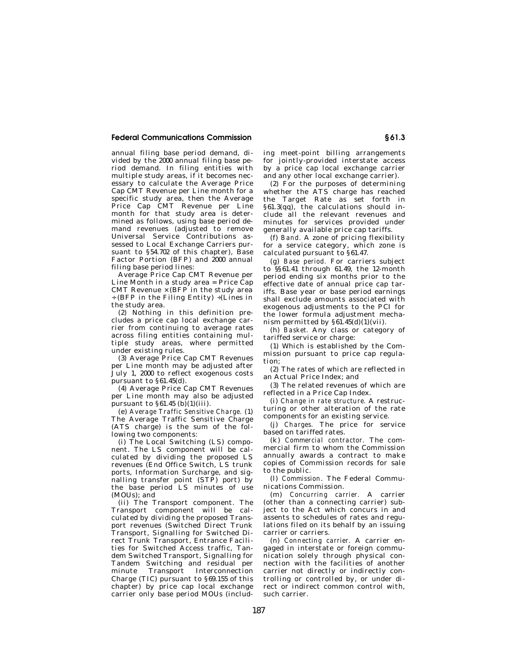annual filing base period demand, divided by the 2000 annual filing base period demand. In filing entities with multiple study areas, if it becomes necessary to calculate the Average Price Cap CMT Revenue per Line month for a specific study area, then the Average Price Cap CMT Revenue per Line month for that study area is determined as follows, using base period demand revenues (adjusted to remove Universal Service Contributions assessed to Local Exchange Carriers pursuant to §54.702 of this chapter), Base Factor Portion (BFP) and 2000 annual filing base period lines:

Average Price Cap CMT Revenue per Line Month in a study area  $=$  Price Cap CMT Revenue  $\times$  (BFP in the study area ÷ (BFP in the Filing Entity) ÷(Lines in the study area.

(2) Nothing in this definition precludes a price cap local exchange carrier from continuing to average rates across filing entities containing multiple study areas, where permitted under existing rules.

(3) Average Price Cap CMT Revenues per Line month may be adjusted after July 1, 2000 to reflect exogenous costs pursuant to §61.45(d).

(4) Average Price Cap CMT Revenues per Line month may also be adjusted pursuant to  $\S 61.45$  (b) $(1)(iii)$ .

(e) *Average Traffic Sensitive Charge.* (1) The Average Traffic Sensitive Charge (ATS charge) is the sum of the following two components:

(i) The Local Switching (LS) component. The LS component will be calculated by dividing the proposed LS revenues (End Office Switch, LS trunk ports, Information Surcharge, and signalling transfer point (STP) port) by the base period LS minutes of use (MOUs); and

(ii) The Transport component. The Transport component will be calculated by dividing the proposed Transport revenues (Switched Direct Trunk Transport, Signalling for Switched Direct Trunk Transport, Entrance Facilities for Switched Access traffic, Tandem Switched Transport, Signalling for Tandem Switching and residual per Transport Interconnection Charge (TIC) pursuant to §69.155 of this chapter) by price cap local exchange carrier only base period MOUs (including meet-point billing arrangements for jointly-provided interstate access by a price cap local exchange carrier and any other local exchange carrier).

(2) For the purposes of determining whether the ATS charge has reached the Target Rate as set forth in §61.3(qq), the calculations should include all the relevant revenues and minutes for services provided under generally available price cap tariffs.

(f) *Band.* A zone of pricing flexibility for a service category, which zone is calculated pursuant to §61.47.

(g) *Base period.* For carriers subject to §§61.41 through 61.49, the 12-month period ending six months prior to the effective date of annual price cap tariffs. Base year or base period earnings shall exclude amounts associated with exogenous adjustments to the PCI for the lower formula adjustment mechanism permitted by  $§61.45(d)(1)(vii)$ .

(h) *Basket.* Any class or category of tariffed service or charge:

(1) Which is established by the Commission pursuant to price cap regulation;

(2) The rates of which are reflected in an Actual Price Index; and

(3) The related revenues of which are reflected in a Price Cap Index.

(i) *Change in rate structure.* A restructuring or other alteration of the rate components for an existing service.

(j) *Charges.* The price for service based on tariffed rates.

(k) *Commercial contractor.* The commercial firm to whom the Commission annually awards a contract to make copies of Commission records for sale to the public.

(l) *Commission*. The Federal Communications Commission.

(m) *Concurring carrier.* A carrier (other than a connecting carrier) subject to the Act which concurs in and assents to schedules of rates and regulations filed on its behalf by an issuing carrier or carriers.

(n) *Connecting carrier.* A carrier engaged in interstate or foreign communication solely through physical connection with the facilities of another carrier not directly or indirectly controlling or controlled by, or under direct or indirect common control with, such carrier.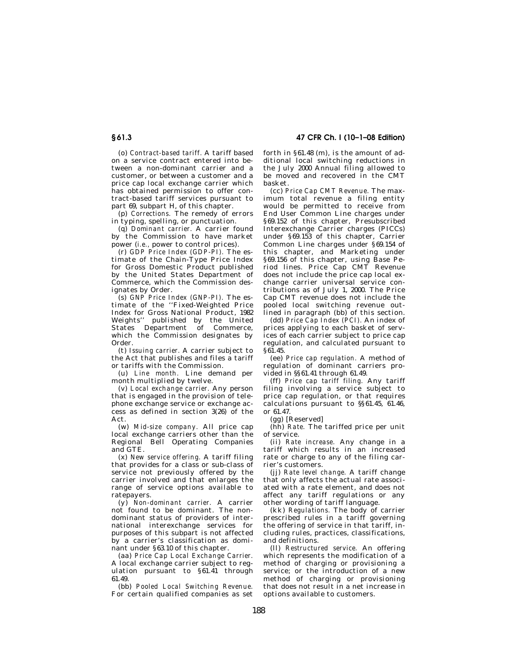**§ 61.3 47 CFR Ch. I (10–1–08 Edition)** 

(o) *Contract-based tariff.* A tariff based on a service contract entered into between a non-dominant carrier and a customer, or between a customer and a price cap local exchange carrier which has obtained permission to offer contract-based tariff services pursuant to part 69, subpart H, of this chapter.

(p) *Corrections.* The remedy of errors in typing, spelling, or punctuation.

(q) *Dominant carrier.* A carrier found by the Commission to have market power (*i.e.,* power to control prices).

(r) *GDP Price Index (GDP-PI).* The estimate of the Chain-Type Price Index for Gross Domestic Product published by the United States Department of Commerce, which the Commission designates by Order.

(s) *GNP Price Index (GNP-PI).* The estimate of the ''Fixed-Weighted Price Index for Gross National Product, 1982 Weights'' published by the United States Department of Commerce, which the Commission designates by Order.

(t) *Issuing carrier.* A carrier subject to the Act that publishes and files a tariff or tariffs with the Commission.

(u) *Line month.* Line demand per month multiplied by twelve.

(v) *Local exchange carrier.* Any person that is engaged in the provision of telephone exchange service or exchange access as defined in section 3(26) of the Act.

(w) *Mid-size company.* All price cap local exchange carriers other than the Regional Bell Operating Companies and GTE.

(x) *New service offering.* A tariff filing that provides for a class or sub-class of service not previously offered by the carrier involved and that enlarges the range of service options available to ratepayers.

(y) *Non-dominant carrier.* A carrier not found to be dominant. The nondominant status of providers of international interexchange services for purposes of this subpart is not affected by a carrier's classification as dominant under §63.10 of this chapter.

(aa) *Price Cap Local Exchange Carrier.*  A local exchange carrier subject to regulation pursuant to §61.41 through 61.49.

(bb) *Pooled Local Switching Revenue.*  For certain qualified companies as set forth in §61.48 (m), is the amount of additional local switching reductions in the July 2000 Annual filing allowed to be moved and recovered in the CMT basket.

(cc) *Price Cap CMT Revenue.* The maximum total revenue a filing entity would be permitted to receive from End User Common Line charges under §69.152 of this chapter, Presubscribed Interexchange Carrier charges (PICCs) under §69.153 of this chapter, Carrier Common Line charges under §69.154 of this chapter, and Marketing under §69.156 of this chapter, using Base Period lines. Price Cap CMT Revenue does not include the price cap local exchange carrier universal service contributions as of July 1, 2000. The Price Cap CMT revenue does not include the pooled local switching revenue outlined in paragraph (bb) of this section.

(dd) *Price Cap Index (PCI).* An index of prices applying to each basket of services of each carrier subject to price cap regulation, and calculated pursuant to §61.45.

(ee) *Price cap regulation.* A method of regulation of dominant carriers provided in §§61.41 through 61.49.

(ff) *Price cap tariff filing.* Any tariff filing involving a service subject to price cap regulation, or that requires calculations pursuant to §§61.45, 61.46, or 61.47.

(gg) [Reserved]

(hh) *Rate.* The tariffed price per unit of service.

(ii) *Rate increase.* Any change in a tariff which results in an increased rate or charge to any of the filing carrier's customers.

(jj) *Rate level change.* A tariff change that only affects the actual rate associated with a rate element, and does not affect any tariff regulations or any other wording of tariff language.

(kk) *Regulations.* The body of carrier prescribed rules in a tariff governing the offering of service in that tariff, including rules, practices, classifications, and definitions.

(ll) *Restructured service.* An offering which represents the modification of a method of charging or provisioning a service; or the introduction of a new method of charging or provisioning that does not result in a net increase in options available to customers.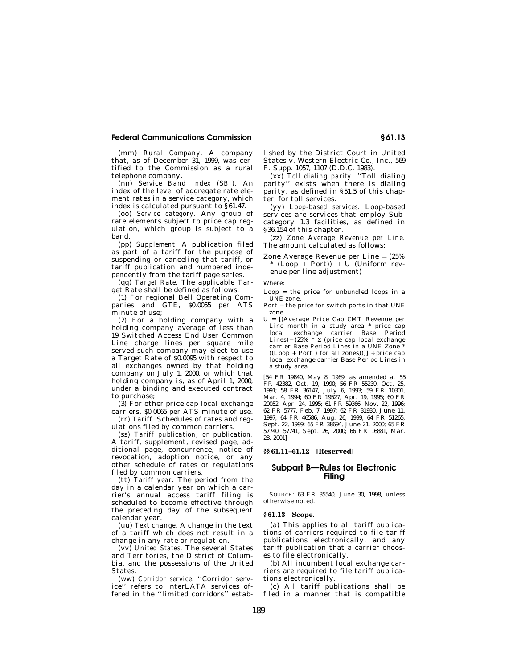(mm) *Rural Company.* A company that, as of December 31, 1999, was certified to the Commission as a rural telephone company.

(nn) *Service Band Index (SBI).* An index of the level of aggregate rate element rates in a service category, which index is calculated pursuant to §61.47.

(oo) *Service category.* Any group of rate elements subject to price cap regulation, which group is subject to a band.

(pp) *Supplement.* A publication filed as part of a tariff for the purpose of suspending or canceling that tariff, or tariff publication and numbered independently from the tariff page series.

(qq) *Target Rate.* The applicable Target Rate shall be defined as follows:

(1) For regional Bell Operating Companies and GTE, \$0.0055 per ATS minute of use;

(2) For a holding company with a holding company average of less than 19 Switched Access End User Common Line charge lines per square mile served such company may elect to use a Target Rate of \$0.0095 with respect to all exchanges owned by that holding company on July 1, 2000, or which that holding company is, as of April 1, 2000, under a binding and executed contract to purchase;

(3) For other price cap local exchange carriers, \$0.0065 per ATS minute of use. (rr) *Tariff.* Schedules of rates and reg-

ulations filed by common carriers.

(ss) *Tariff publication, or publication.*  A tariff, supplement, revised page, additional page, concurrence, notice of revocation, adoption notice, or any other schedule of rates or regulations filed by common carriers.

(tt) *Tariff year.* The period from the day in a calendar year on which a carrier's annual access tariff filing is scheduled to become effective through the preceding day of the subsequent calendar year.

(uu) *Text change.* A change in the text of a tariff which does not result in a change in any rate or regulation.

(vv) *United States.* The several States and Territories, the District of Columbia, and the possessions of the United States.

(ww) *Corridor service.* ''Corridor service'' refers to interLATA services offered in the ''limited corridors'' established by the District Court in United States v. Western Electric Co., Inc., 569 F. Supp. 1057, 1107 (D.D.C. 1983).

(xx) *Toll dialing parity.* ''Toll dialing parity'' exists when there is dialing parity, as defined in §51.5 of this chapter, for toll services.

(yy) *Loop-based services.* Loop-based services are services that employ Subcategory 1.3 facilities, as defined in §36.154 of this chapter.

(zz) *Zone Average Revenue per Line.*  The amount calculated as follows:

Zone Average Revenue per Line = (25% \* (Loop + Port)) + U (Uniform revenue per line adjustment)

Where:

Loop = the price for unbundled loops in a UNE zone.

- Port = the price for switch ports in that UNE zone.
- U = [(Average Price Cap CMT Revenue per Line month in a study area \* price cap local exchange carrier Base Period<br>Lines)–(25% \*Σ (price-cap-local-exchange carrier Base Period Lines in a UNE Zone<sup>5</sup> ((Loop + Port ) for all zones)))] ÷ price cap local exchange carrier Base Period Lines in a study area.

[54 FR 19840, May 8, 1989, as amended at 55 FR 42382, Oct. 19, 1990; 56 FR 55239, Oct. 25, 1991; 58 FR 36147, July 6, 1993; 59 FR 10301, Mar. 4, 1994; 60 FR 19527, Apr. 19, 1995; 60 FR 20052, Apr. 24, 1995; 61 FR 59366, Nov. 22, 1996; 62 FR 5777, Feb. 7, 1997; 62 FR 31930, June 11, 1997; 64 FR 46586, Aug. 26, 1999; 64 FR 51265, Sept. 22, 1999; 65 FR 38694, June 21, 2000; 65 FR 57740, 57741, Sept. 26, 2000; 66 FR 16881, Mar. 28, 2001]

## **§§ 61.11–61.12 [Reserved]**

## **Subpart B—Rules for Electronic Filing**

SOURCE: 63 FR 35540, June 30, 1998, unless otherwise noted.

### **§ 61.13 Scope.**

(a) This applies to all tariff publications of carriers required to file tariff publications electronically, and any tariff publication that a carrier chooses to file electronically.

(b) All incumbent local exchange carriers are required to file tariff publications electronically.

(c) All tariff publications shall be filed in a manner that is compatible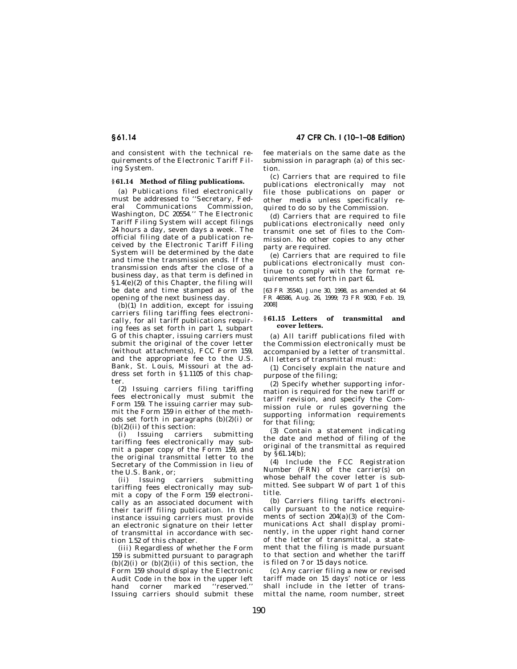and consistent with the technical requirements of the Electronic Tariff Filing System.

## **§ 61.14 Method of filing publications.**

(a) Publications filed electronically must be addressed to ''Secretary, Federal Communications Commission, Washington, DC 20554.'' The Electronic Tariff Filing System will accept filings 24 hours a day, seven days a week. The official filing date of a publication received by the Electronic Tariff Filing System will be determined by the date and time the transmission ends. If the transmission ends after the close of a business day, as that term is defined in §1.4(e)(2) of this Chapter, the filing will be date and time stamped as of the opening of the next business day.

 $(b)(1)$  In addition, except for issuing carriers filing tariffing fees electronically, for all tariff publications requiring fees as set forth in part 1, subpart G of this chapter, issuing carriers must submit the original of the cover letter (without attachments), FCC Form 159, and the appropriate fee to the U.S. Bank, St. Louis, Missouri at the address set forth in §1.1105 of this chapter.

(2) Issuing carriers filing tariffing fees electronically must submit the Form 159. The issuing carrier may submit the Form 159 in either of the methods set forth in paragraphs  $(b)(2)(i)$  or  $(b)(2)(ii)$  of this section:

(i) Issuing carriers submitting tariffing fees electronically may submit a paper copy of the Form 159, and the original transmittal letter to the Secretary of the Commission in lieu of the U.S. Bank, or;

(ii) Issuing carriers submitting tariffing fees electronically may submit a copy of the Form 159 electronically as an associated document with their tariff filing publication. In this instance issuing carriers must provide an electronic signature on their letter of transmittal in accordance with section 1.52 of this chapter.

(iii) Regardless of whether the Form 159 is submitted pursuant to paragraph  $(b)(2)(i)$  or  $(b)(2)(ii)$  of this section, the Form 159 should display the Electronic Audit Code in the box in the upper left hand corner marked ''reserved.'' Issuing carriers should submit these fee materials on the same date as the submission in paragraph (a) of this section.

(c) Carriers that are required to file publications electronically may not file those publications on paper or other media unless specifically required to do so by the Commission.

(d) Carriers that are required to file publications electronically need only transmit one set of files to the Commission. No other copies to any other party are required.

(e) Carriers that are required to file publications electronically must continue to comply with the format requirements set forth in part 61.

[63 FR 35540, June 30, 1998, as amended at 64 FR 46586, Aug. 26, 1999; 73 FR 9030, Feb. 19, 2008]

### **§ 61.15 Letters of transmittal and cover letters.**

(a) All tariff publications filed with the Commission electronically must be accompanied by a letter of transmittal. All letters of transmittal must:

(1) Concisely explain the nature and purpose of the filing;

(2) Specify whether supporting information is required for the new tariff or tariff revision, and specify the Commission rule or rules governing the supporting information requirements for that filing;

(3) Contain a statement indicating the date and method of filing of the original of the transmittal as required by §61.14(b);

(4) Include the FCC Registration Number (FRN) of the carrier(s) on whose behalf the cover letter is submitted. See subpart W of part 1 of this title.

(b) Carriers filing tariffs electronically pursuant to the notice requirements of section  $204(a)(3)$  of the Communications Act shall display prominently, in the upper right hand corner of the letter of transmittal, a statement that the filing is made pursuant to that section and whether the tariff is filed on 7 or 15 days notice.

(c) Any carrier filing a new or revised tariff made on 15 days' notice or less shall include in the letter of transmittal the name, room number, street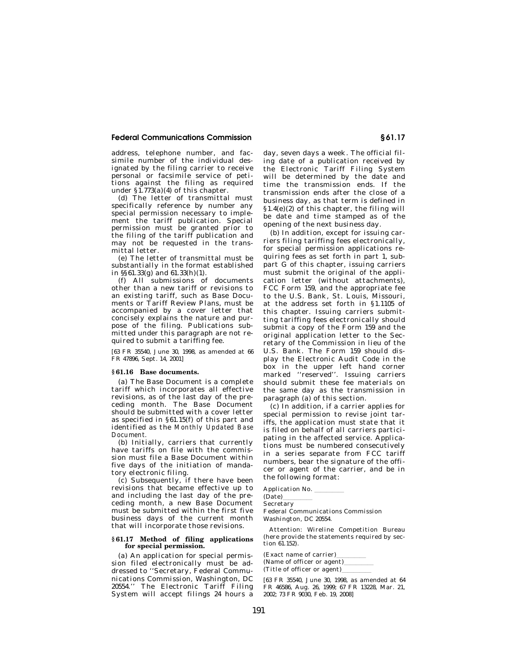address, telephone number, and facsimile number of the individual designated by the filing carrier to receive personal or facsimile service of petitions against the filing as required under §1.773(a)(4) of this chapter.

(d) The letter of transmittal must specifically reference by number any special permission necessary to implement the tariff publication. Special permission must be granted prior to the filing of the tariff publication and may not be requested in the transmittal letter.

(e) The letter of transmittal must be substantially in the format established in §§61.33(g) and 61.33(h)(1).

(f) All submissions of documents other than a new tariff or revisions to an existing tariff, such as Base Documents or Tariff Review Plans, must be accompanied by a cover letter that concisely explains the nature and purpose of the filing. Publications submitted under this paragraph are not required to submit a tariffing fee.

[63 FR 35540, June 30, 1998, as amended at 66 FR 47896, Sept. 14, 2001]

#### **§ 61.16 Base documents.**

(a) The Base Document is a complete tariff which incorporates all effective revisions, as of the last day of the preceding month. The Base Document should be submitted with a cover letter as specified in §61.15(f) of this part and identified as the *Monthly Updated Base Document.* 

(b) Initially, carriers that currently have tariffs on file with the commission must file a Base Document within five days of the initiation of mandatory electronic filing.

(c) Subsequently, if there have been revisions that became effective up to and including the last day of the preceding month, a new Base Document must be submitted within the first five business days of the current month that will incorporate those revisions.

## **§ 61.17 Method of filing applications for special permission.**

(a) An application for special permission filed electronically must be addressed to ''Secretary, Federal Communications Commission, Washington, DC 20554.'' The Electronic Tariff Filing System will accept filings 24 hours a

day, seven days a week. The official filing date of a publication received by the Electronic Tariff Filing System will be determined by the date and time the transmission ends. If the transmission ends after the close of a business day, as that term is defined in §1.4(e)(2) of this chapter, the filing will be date and time stamped as of the opening of the next business day.

(b) In addition, except for issuing carriers filing tariffing fees electronically, for special permission applications requiring fees as set forth in part 1, subpart G of this chapter, issuing carriers must submit the original of the application letter (without attachments), FCC Form 159, and the appropriate fee to the U.S. Bank, St. Louis, Missouri, at the address set forth in §1.1105 of this chapter. Issuing carriers submitting tariffing fees electronically should submit a copy of the Form 159 and the original application letter to the Secretary of the Commission in lieu of the U.S. Bank. The Form 159 should display the Electronic Audit Code in the box in the upper left hand corner marked ''reserved''. Issuing carriers should submit these fee materials on the same day as the transmission in paragraph (a) of this section.

(c) In addition, if a carrier applies for special permission to revise joint tariffs, the application must state that it is filed on behalf of all carriers participating in the affected service. Applications must be numbered consecutively in a series separate from FCC tariff numbers, bear the signature of the officer or agent of the carrier, and be in the following format:

Application No. (Date) Secretary Federal Communications Commission Washington, DC 20554.

Attention: Wireline Competition Bureau (here provide the statements required by section 61.152).

 $\frac{(\text{Exact name of carrier})}{(\text{Name of officer or agent})}$ (Name of officer or agent)<br> $\frac{d}{dt}$ <br>(Title of officer or agent) (Title of officer or agent)

[63 FR 35540, June 30, 1998, as amended at 64 FR 46586, Aug. 26, 1999; 67 FR 13228, Mar. 21, 2002; 73 FR 9030, Feb. 19, 2008]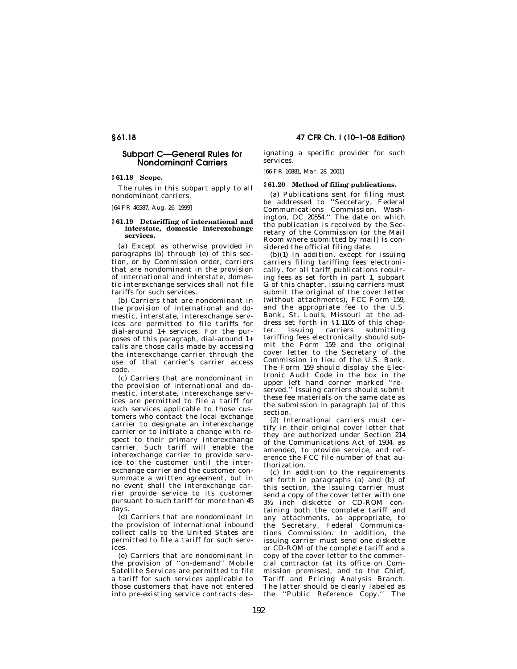## **Subpart C—General Rules for Nondominant Carriers**

#### **§ 61.18 Scope.**

The rules in this subpart apply to all nondominant carriers.

[64 FR 46587, Aug. 26, 1999]

#### **§ 61.19 Detariffing of international and interstate, domestic interexchange services.**

(a) Except as otherwise provided in paragraphs (b) through (e) of this section, or by Commission order, carriers that are nondominant in the provision of international and interstate, domestic interexchange services shall not file tariffs for such services.

(b) Carriers that are nondominant in the provision of international and domestic, interstate, interexchange services are permitted to file tariffs for dial-around 1+ services. For the purposes of this paragraph, dial-around 1+ calls are those calls made by accessing the interexchange carrier through the use of that carrier's carrier access code.

(c) Carriers that are nondominant in the provision of international and domestic, interstate, interexchange services are permitted to file a tariff for such services applicable to those customers who contact the local exchange carrier to designate an interexchange carrier or to initiate a change with respect to their primary interexchange carrier. Such tariff will enable the interexchange carrier to provide service to the customer until the interexchange carrier and the customer consummate a written agreement, but in no event shall the interexchange carrier provide service to its customer pursuant to such tariff for more than 45 days.

(d) Carriers that are nondominant in the provision of international inbound collect calls to the United States are permitted to file a tariff for such serv $i$ ces

(e) Carriers that are nondominant in the provision of ''on-demand'' Mobile Satellite Services are permitted to file a tariff for such services applicable to those customers that have not entered into pre-existing service contracts des-

**§ 61.18 47 CFR Ch. I (10–1–08 Edition)** 

ignating a specific provider for such services.

[66 FR 16881, Mar. 28, 2001]

## **§ 61.20 Method of filing publications.**

(a) Publications sent for filing must be addressed to ''Secretary, Federal Communications Commission, Washington, DC 20554.'' The date on which the publication is received by the Secretary of the Commission (or the Mail Room where submitted by mail) is considered the official filing date.

 $(b)(1)$  In addition, except for issuing carriers filing tariffing fees electronically, for all tariff publications requiring fees as set forth in part 1, subpart G of this chapter, issuing carriers must submit the original of the cover letter (without attachments), FCC Form 159, and the appropriate fee to the U.S. Bank, St. Louis, Missouri at the address set forth in §1.1105 of this chapter. Issuing carriers submitting tariffing fees electronically should submit the Form 159 and the original cover letter to the Secretary of the Commission in lieu of the U.S. Bank. The Form 159 should display the Electronic Audit Code in the box in the upper left hand corner marked ''reserved." Issuing carriers should submit these fee materials on the same date as the submission in paragraph (a) of this section.

(2) International carriers must certify in their original cover letter that they are authorized under Section 214 of the Communications Act of 1934, as amended, to provide service, and reference the FCC file number of that authorization.

(c) In addition to the requirements set forth in paragraphs (a) and (b) of this section, the issuing carrier must send a copy of the cover letter with one  $3\frac{1}{2}$  inch diskette or CD-ROM containing both the complete tariff and any attachments, as appropriate, to the Secretary, Federal Communications Commission. In addition, the issuing carrier must send one diskette or CD-ROM of the complete tariff and a copy of the cover letter to the commercial contractor (at its office on Commission premises), and to the Chief, Tariff and Pricing Analysis Branch. The latter should be clearly labeled as the "Public Reference Copy." The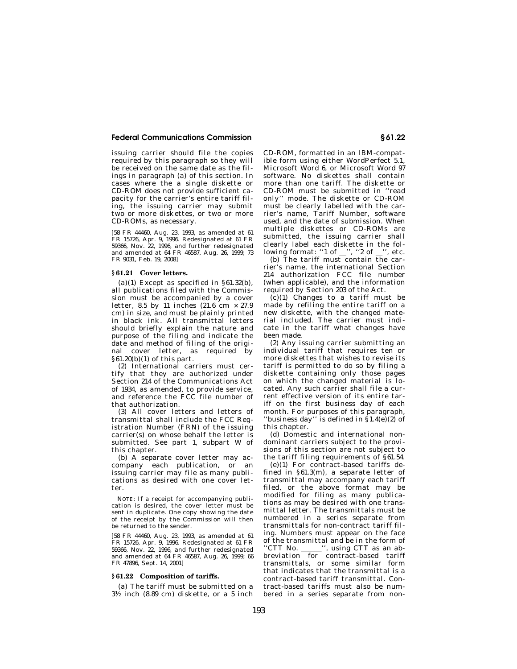issuing carrier should file the copies required by this paragraph so they will be received on the same date as the filings in paragraph (a) of this section. In cases where the a single diskette or CD-ROM does not provide sufficient capacity for the carrier's entire tariff filing, the issuing carrier may submit two or more diskettes, or two or more CD-ROMs, as necessary.

[58 FR 44460, Aug. 23, 1993, as amended at 61 FR 15726, Apr. 9, 1996. Redesignated at 61 FR 59366, Nov. 22, 1996, and further redesignated and amended at 64 FR 46587, Aug. 26, 1999; 73 FR 9031, Feb. 19, 2008]

## **§ 61.21 Cover letters.**

(a)(1) Except as specified in  $§61.32(b)$ , all publications filed with the Commission must be accompanied by a cover letter, 8.5 by 11 inches  $(21.6 \text{ cm} \times 27.9)$ cm) in size, and must be plainly printed in black ink. All transmittal letters should briefly explain the nature and purpose of the filing and indicate the date and method of filing of the original cover letter, as required by §61.20(b)(1) of this part.

(2) International carriers must certify that they are authorized under Section 214 of the Communications Act of 1934, as amended, to provide service, and reference the FCC file number of that authorization.

(3) All cover letters and letters of transmittal shall include the FCC Registration Number (FRN) of the issuing carrier(s) on whose behalf the letter is submitted. See part 1, subpart W of this chapter.

(b) A separate cover letter may accompany each publication, or an issuing carrier may file as many publications as desired with one cover letter.

NOTE: If a receipt for accompanying publication is desired, the cover letter must be sent in duplicate. One copy showing the date of the receipt by the Commission will then be returned to the sender.

[58 FR 44460, Aug. 23, 1993, as amended at 61 FR 15726, Apr. 9, 1996. Redesignated at 61 FR 59366, Nov. 22, 1996, and further redesignated and amended at 64 FR 46587, Aug. 26, 1999; 66 FR 47896, Sept. 14, 2001]

#### **§ 61.22 Composition of tariffs.**

(a) The tariff must be submitted on a  $3\frac{1}{2}$  inch (8.89 cm) diskette, or a 5 inch CD-ROM, formatted in an IBM-compatible form using either WordPerfect 5.1, Microsoft Word 6, or Microsoft Word 97 software. No diskettes shall contain more than one tariff. The diskette or CD-ROM must be submitted in ''read only'' mode. The diskette or CD-ROM must be clearly labelled with the carrier's name, Tariff Number, software used, and the date of submission. When multiple diskettes or CD-ROMs are submitted, the issuing carrier shall clearly label each diskette in the following format: " $1$  of  $\%$ ", " $2$  of  $\%$ ", etc.

(b) The tariff must contain the carrier's name, the international Section 214 authorization FCC file number (when applicable), and the information required by Section 203 of the Act.

 $(c)(1)$  Changes to a tariff must be made by refiling the entire tariff on a new diskette, with the changed material included. The carrier must indicate in the tariff what changes have been made.

(2) Any issuing carrier submitting an individual tariff that requires ten or more diskettes that wishes to revise its tariff is permitted to do so by filing a diskette containing only those pages on which the changed material is located. Any such carrier shall file a current effective version of its entire tariff on the first business day of each month. For purposes of this paragraph, 'business day'' is defined in  $\hat{S}1.4(e)(2)$  of this chapter.

(d) Domestic and international nondominant carriers subject to the provisions of this section are not subject to the tariff filing requirements of §61.54.

(e)(1) For contract-based tariffs defined in §61.3(m), a separate letter of transmittal may accompany each tariff filed, or the above format may be modified for filing as many publications as may be desired with one transmittal letter. The transmittals must be numbered in a series separate from transmittals for non-contract tariff filing. Numbers must appear on the face of the transmittal and be in the form of<br>"CTT No. ", using CTT as an ab-"CTT No. \_\_\_\_\_\_", using CTT as an ab-<br>breviation for contract-based tariff transmittals, or some similar form that indicates that the transmittal is a contract-based tariff transmittal. Contract-based tariffs must also be numbered in a series separate from non-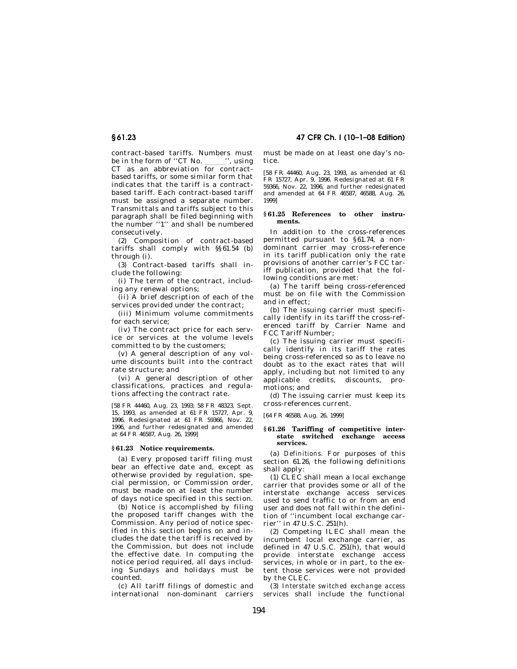# **§ 61.23 47 CFR Ch. I (10–1–08 Edition)**

contract-based tariffs. Numbers must<br>be in the form of "CT No. ", using be in the form of ''CT No. \_\_\_\_\_'', using<br>CT as an abbreviation for contractbased tariffs, or some similar form that indicates that the tariff is a contractbased tariff. Each contract-based tariff must be assigned a separate number. Transmittals and tariffs subject to this paragraph shall be filed beginning with the number ''1'' and shall be numbered consecutively.

(2) Composition of contract-based tariffs shall comply with §§61.54 (b) through (i).

(3) Contract-based tariffs shall include the following:

(i) The term of the contract, including any renewal options;

(ii) A brief description of each of the services provided under the contract;

(iii) Minimum volume commitments for each service;

(iv) The contract price for each service or services at the volume levels committed to by the customers;

(v) A general description of any volume discounts built into the contract rate structure; and

(vi) A general description of other classifications, practices and regulations affecting the contract rate.

[58 FR 44460, Aug. 23, 1993; 58 FR 48323, Sept. 15, 1993, as amended at 61 FR 15727, Apr. 9, 1996. Redesignated at 61 FR 59366, Nov. 22, 1996, and further redesignated and amended at 64 FR 46587, Aug. 26, 1999]

#### **§ 61.23 Notice requirements.**

(a) Every proposed tariff filing must bear an effective date and, except as otherwise provided by regulation, special permission, or Commission order, must be made on at least the number of days notice specified in this section.

(b) Notice is accomplished by filing the proposed tariff changes with the Commission. Any period of notice specified in this section begins on and includes the date the tariff is received by the Commission, but does not include the effective date. In computing the notice period required, all days including Sundays and holidays must be counted.

(c) All tariff filings of domestic and international non-dominant carriers must be made on at least one day's notice.

[58 FR 44460, Aug. 23, 1993, as amended at 61 FR 15727, Apr. 9, 1996. Redesignated at 61 FR 59366, Nov. 22, 1996, and further redesignated and amended at 64 FR 46587, 46588, Aug. 26, 1999]

#### **§ 61.25 References to other instruments.**

In addition to the cross-references permitted pursuant to §61.74, a nondominant carrier may cross-reference in its tariff publication only the rate provisions of another carrier's FCC tariff publication, provided that the following conditions are met:

(a) The tariff being cross-referenced must be on file with the Commission and in effect;

(b) The issuing carrier must specifically identify in its tariff the cross-referenced tariff by Carrier Name and FCC Tariff Number;

(c) The issuing carrier must specifically identify in its tariff the rates being cross-referenced so as to leave no doubt as to the exact rates that will apply, including but not limited to any applicable credits, discounts, promotions; and

(d) The issuing carrier must keep its cross-references current.

[64 FR 46588, Aug. 26, 1999]

#### **§ 61.26 Tariffing of competitive interstate switched exchange access services.**

(a) *Definitions.* For purposes of this section 61.26, the following definitions shall apply:

(1) CLEC shall mean a local exchange carrier that provides some or all of the interstate exchange access services used to send traffic to or from an end user and does not fall within the definition of ''incumbent local exchange carrier'' in 47 U.S.C. 251(h).

(2) Competing ILEC shall mean the incumbent local exchange carrier, as defined in 47 U.S.C. 251(h), that would provide interstate exchange access services, in whole or in part, to the extent those services were not provided by the CLEC.

(3) *Interstate switched exchange access services* shall include the functional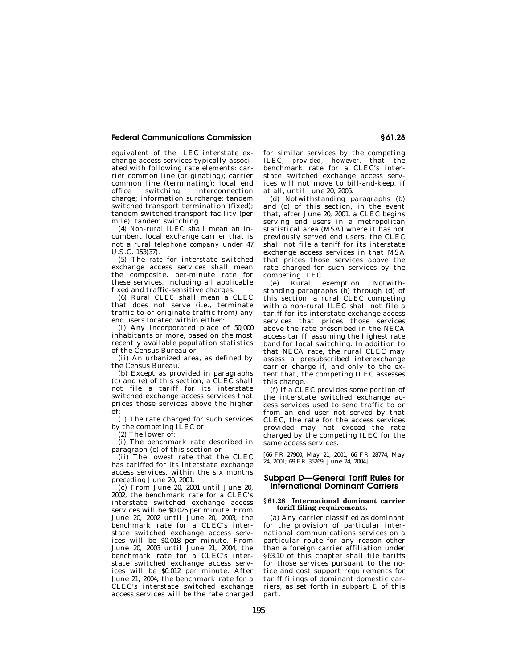equivalent of the ILEC interstate exchange access services typically associated with following rate elements: carrier common line (originating); carrier common line (terminating); local end office switching; interconnection charge; information surcharge; tandem switched transport termination (fixed); tandem switched transport facility (per mile); tandem switching.

(4) *Non-rural ILEC* shall mean an incumbent local exchange carrier that is not a *rural telephone company* under 47 U.S.C. 153(37).

(5) The *rate* for interstate switched exchange access services shall mean the composite, per-minute rate for these services, including all applicable fixed and traffic-sensitive charges.

(6) *Rural CLEC* shall mean a CLEC that does not serve (i.e., terminate traffic to or originate traffic from) any end users located within either:

(i) Any incorporated place of 50,000 inhabitants or more, based on the most recently available population statistics of the Census Bureau or

(ii) An urbanized area, as defined by the Census Bureau.

(b) Except as provided in paragraphs (c) and (e) of this section, a CLEC shall not file a tariff for its interstate switched exchange access services that prices those services above the higher  $\alpha$ f

(1) The rate charged for such services by the competing ILEC or

(2) The lower of:

(i) The benchmark rate described in paragraph (c) of this section or

(ii) The lowest rate that the CLEC has tariffed for its interstate exchange access services, within the six months preceding June 20, 2001.

(c) From June 20, 2001 until June 20, 2002, the benchmark rate for a CLEC's interstate switched exchange access services will be \$0.025 per minute. From June 20, 2002 until June 20, 2003, the benchmark rate for a CLEC's interstate switched exchange access services will be \$0.018 per minute. From June 20, 2003 until June 21, 2004, the benchmark rate for a CLEC's interstate switched exchange access services will be \$0.012 per minute. After June 21, 2004, the benchmark rate for a CLEC's interstate switched exchange access services will be the rate charged

for similar services by the competing ILEC, *provided, however,* that the benchmark rate for a CLEC's interstate switched exchange access services will not move to bill-and-keep, if at all, until June 20, 2005.

(d) Notwithstanding paragraphs (b) and (c) of this section, in the event that, after June 20, 2001, a CLEC begins serving end users in a metropolitan statistical area (MSA) where it has not previously served end users, the CLEC shall not file a tariff for its interstate exchange access services in that MSA that prices those services above the rate charged for such services by the competing ILEC.

(e) Rural exemption. Notwithstanding paragraphs (b) through (d) of this section, a rural CLEC competing with a non-rural ILEC shall not file a tariff for its interstate exchange access services that prices those services above the rate prescribed in the NECA access tariff, assuming the highest rate band for local switching. In addition to that NECA rate, the rural CLEC may assess a presubscribed interexchange carrier charge if, and only to the extent that, the competing ILEC assesses this charge.

(f) If a CLEC provides some portion of the interstate switched exchange access services used to send traffic to or from an end user not served by that CLEC, the rate for the access services provided may not exceed the rate charged by the competing ILEC for the same access services.

[66 FR 27900, May 21, 2001; 66 FR 28774, May 24, 2001; 69 FR 35269, June 24, 2004]

## **Subpart D—General Tariff Rules for International Dominant Carriers**

#### **§ 61.28 International dominant carrier tariff filing requirements.**

(a) Any carrier classified as dominant for the provision of particular international communications services on a particular route for any reason other than a foreign carrier affiliation under §63.10 of this chapter shall file tariffs for those services pursuant to the notice and cost support requirements for tariff filings of dominant domestic carriers, as set forth in subpart E of this part.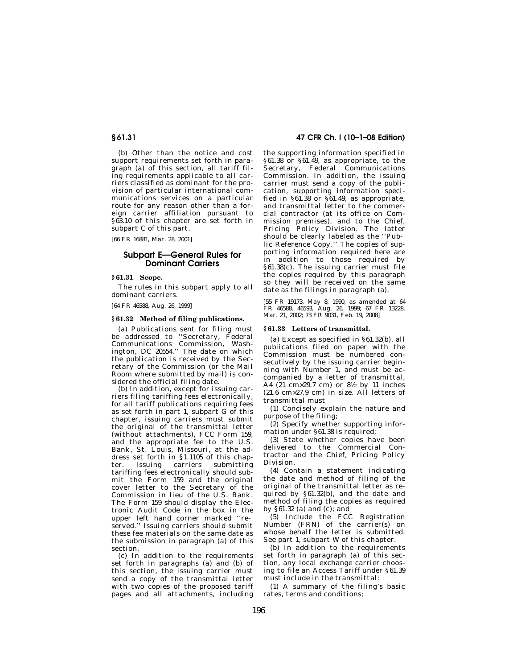(b) Other than the notice and cost support requirements set forth in paragraph (a) of this section, all tariff filing requirements applicable to all carriers classified as dominant for the provision of particular international communications services on a particular route for any reason other than a foreign carrier affiliation pursuant to §63.10 of this chapter are set forth in subpart C of this part.

[66 FR 16881, Mar. 28, 2001]

# **Subpart E—General Rules for Dominant Carriers**

## **§ 61.31 Scope.**

The rules in this subpart apply to all dominant carriers.

[64 FR 46588, Aug. 26, 1999]

## **§ 61.32 Method of filing publications.**

(a) Publications sent for filing must be addressed to ''Secretary, Federal Communications Commission, Washington, DC 20554.'' The date on which the publication is received by the Secretary of the Commission (or the Mail Room where submitted by mail) is considered the official filing date.

(b) In addition, except for issuing carriers filing tariffing fees electronically, for all tariff publications requiring fees as set forth in part 1, subpart G of this chapter, issuing carriers must submit the original of the transmittal letter (without attachments), FCC Form 159, and the appropriate fee to the U.S. Bank, St. Louis, Missouri, at the address set forth in §1.1105 of this chapter. Issuing carriers submitting tariffing fees electronically should submit the Form 159 and the original cover letter to the Secretary of the Commission in lieu of the U.S. Bank. The Form 159 should display the Electronic Audit Code in the box in the upper left hand corner marked ''reserved.'' Issuing carriers should submit these fee materials on the same date as the submission in paragraph (a) of this section.

(c) In addition to the requirements set forth in paragraphs (a) and (b) of this section, the issuing carrier must send a copy of the transmittal letter with two copies of the proposed tariff pages and all attachments, including

## **§ 61.31 47 CFR Ch. I (10–1–08 Edition)**

the supporting information specified in §61.38 or §61.49, as appropriate, to the Secretary, Federal Communications Commission. In addition, the issuing carrier must send a copy of the publication, supporting information specified in §61.38 or §61.49, as appropriate, and transmittal letter to the commercial contractor (at its office on Commission premises), and to the Chief, Pricing Policy Division. The latter should be clearly labeled as the ''Public Reference Copy.'' The copies of supporting information required here are in addition to those required by §61.38(c). The issuing carrier must file the copies required by this paragraph so they will be received on the same date as the filings in paragraph (a).

[55 FR 19173, May 8, 1990, as amended at 64 FR 46588, 46593, Aug. 26, 1999; 67 FR 13228, Mar. 21, 2002; 73 FR 9031, Feb. 19, 2008]

## **§ 61.33 Letters of transmittal.**

(a) Except as specified in §61.32(b), all publications filed on paper with the Commission must be numbered consecutively by the issuing carrier beginning with Number 1, and must be accompanied by a letter of transmittal, A4 (21 cm×29.7 cm) or 81⁄2 by 11 inches  $(21.6 \text{ cm} \times 27.9 \text{ cm})$  in size. All letters of transmittal must

(1) Concisely explain the nature and purpose of the filing;

(2) Specify whether supporting information under §61.38 is required;

(3) State whether copies have been delivered to the Commercial Contractor and the Chief, Pricing Policy Division.

(4) Contain a statement indicating the date and method of filing of the original of the transmittal letter as required by §61.32(b), and the date and method of filing the copies as required by  $§61.32$  (a) and (c); and

(5) Include the FCC Registration Number (FRN) of the carrier(s) on whose behalf the letter is submitted. See part 1, subpart W of this chapter.

(b) In addition to the requirements set forth in paragraph (a) of this section, any local exchange carrier choosing to file an Access Tariff under §61.39 must include in the transmittal:

(1) A summary of the filing's basic rates, terms and conditions;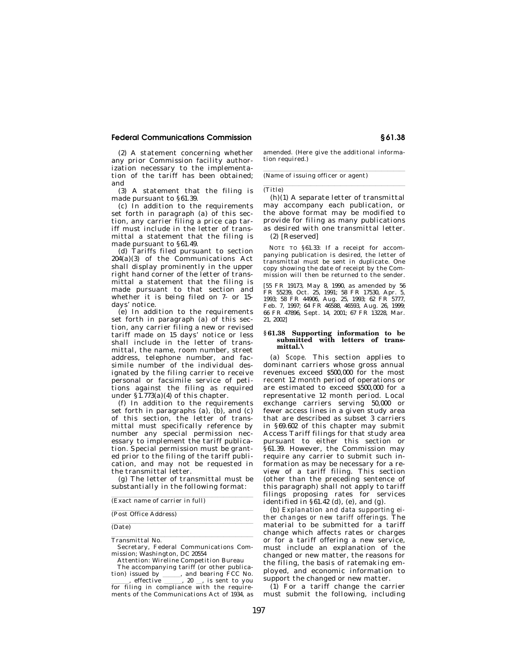(2) A statement concerning whether any prior Commission facility authorization necessary to the implementation of the tariff has been obtained; and

(3) A statement that the filing is made pursuant to §61.39.

(c) In addition to the requirements set forth in paragraph (a) of this section, any carrier filing a price cap tariff must include in the letter of transmittal a statement that the filing is made pursuant to §61.49.

(d) Tariffs filed pursuant to section  $204(a)(3)$  of the Communications Act shall display prominently in the upper right hand corner of the letter of transmittal a statement that the filing is made pursuant to that section and whether it is being filed on 7- or 15 days' notice.

(e) In addition to the requirements set forth in paragraph (a) of this section, any carrier filing a new or revised tariff made on 15 days' notice or less shall include in the letter of transmittal, the name, room number, street address, telephone number, and facsimile number of the individual designated by the filing carrier to receive personal or facsimile service of petitions against the filing as required under  $\S$ 1.773(a)(4) of this chapter.

(f) In addition to the requirements set forth in paragraphs  $(a)$ ,  $(b)$ , and  $(c)$ of this section, the letter of transmittal must specifically reference by number any special permission necessary to implement the tariff publication. Special permission must be granted prior to the filing of the tariff publication, and may not be requested in the transmittal letter.

(g) The letter of transmittal must be substantially in the following format:

(Exact name of carrier in full)

(Post Office Address)

(Date)

**Transmittal No. Constants International Lines** 

Secretary, Federal Communications Commission; Washington, DC 20554

Attention: Wireline Competition Bureau

The accompanying tariff (or other publication) issued by  $\frac{1}{\text{erffective}}$ , and bearing FCC No. effective 3. 20 signal is sent to you for filing in compliance with the require-

ments of the Communications Act of 1934, as

amended. (Here give the additional information required.)

 $(Name of issuing officer or agent)$ 

lle and the control of the control of the control of the control of the control of the control of the control of the control of the control of the control of the control of the control of the control of the control of the

(h)(1) A separate letter of transmittal may accompany each publication, or the above format may be modified to provide for filing as many publications as desired with one transmittal letter. (2) [Reserved]

NOTE TO §61.33: If a receipt for accompanying publication is desired, the letter of transmittal must be sent in duplicate. One copy showing the date of receipt by the Commission will then be returned to the sender.

[55 FR 19173, May 8, 1990, as amended by 56 FR 55239, Oct. 25, 1991; 58 FR 17530, Apr. 5, 1993; 58 FR 44906, Aug. 25, 1993; 62 FR 5777, Feb. 7, 1997; 64 FR 46588, 46593, Aug. 26, 1999; 66 FR 47896, Sept. 14, 2001; 67 FR 13228, Mar. 21, 2002]

#### **§ 61.38 Supporting information to be submitted with letters of transmittal.\**

(a) *Scope.* This section applies to dominant carriers whose gross annual revenues exceed \$500,000 for the most recent 12 month period of operations or are estimated to exceed \$500,000 for a representative 12 month period. Local exchange carriers serving 50,000 or fewer access lines in a given study area that are described as subset 3 carriers in §69.602 of this chapter may submit Access Tariff filings for that study area pursuant to either this section or §61.39. However, the Commission may require any carrier to submit such information as may be necessary for a review of a tariff filing. This section (other than the preceding sentence of this paragraph) shall not apply to tariff filings proposing rates for services identified in  $\S 61.\overline{42}$  (d), (e), and (g).

(b) *Explanation and data supporting either changes or new tariff offerings.* The material to be submitted for a tariff change which affects rates or charges or for a tariff offering a new service, must include an explanation of the changed or new matter, the reasons for the filing, the basis of ratemaking employed, and economic information to support the changed or new matter.

(1) For a tariff change the carrier must submit the following, including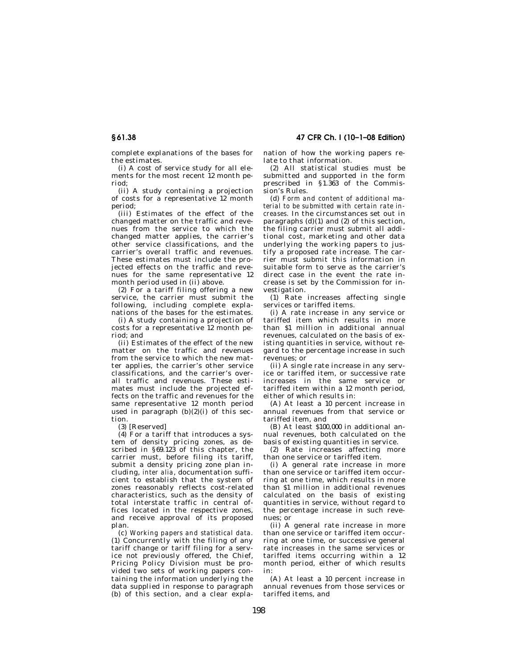complete explanations of the bases for the estimates.

(i) A cost of service study for all elements for the most recent 12 month period;

(ii) A study containing a projection of costs for a representative 12 month period;

(iii) Estimates of the effect of the changed matter on the traffic and revenues from the service to which the changed matter applies, the carrier's other service classifications, and the carrier's overall traffic and revenues. These estimates must include the projected effects on the traffic and revenues for the same representative 12 month period used in (ii) above.

(2) For a tariff filing offering a new service, the carrier must submit the following, including complete explanations of the bases for the estimates.

(i) A study containing a projection of costs for a representative 12 month period; and

(ii) Estimates of the effect of the new matter on the traffic and revenues from the service to which the new matter applies, the carrier's other service classifications, and the carrier's overall traffic and revenues. These estimates must include the projected effects on the traffic and revenues for the same representative 12 month period used in paragraph  $(b)(2)(i)$  of this section.

(3) [Reserved]

(4) For a tariff that introduces a system of density pricing zones, as described in §69.123 of this chapter, the carrier must, before filing its tariff, submit a density pricing zone plan including, *inter alia*, documentation sufficient to establish that the system of zones reasonably reflects cost-related characteristics, such as the density of total interstate traffic in central offices located in the respective zones, and receive approval of its proposed plan.

(c) *Working papers and statistical data.*  (1) Concurrently with the filing of any tariff change or tariff filing for a service not previously offered, the Chief, Pricing Policy Division must be provided two sets of working papers containing the information underlying the data supplied in response to paragraph (b) of this section, and a clear explanation of how the working papers relate to that information.

(2) All statistical studies must be submitted and supported in the form prescribed in §1.363 of the Commission's Rules.

(d) *Form and content of additional material to be submitted with certain rate increases.* In the circumstances set out in paragraphs (d)(1) and (2) of this section, the filing carrier must submit all additional cost, marketing and other data underlying the working papers to justify a proposed rate increase. The carrier must submit this information in suitable form to serve as the carrier's direct case in the event the rate increase is set by the Commission for investigation.

(1) Rate increases affecting single services or tariffed items.

(i) A rate increase in any service or tariffed item which results in more than \$1 million in additional annual revenues, calculated on the basis of existing quantities in service, without regard to the percentage increase in such revenues; or

(ii) A single rate increase in any service or tariffed item, or successive rate increases in the same service or tariffed item within a 12 month period, either of which results in:

(A) At least a 10 percent increase in annual revenues from that service or tariffed item, and

(B) At least \$100,000 in additional annual revenues, both calculated on the basis of existing quantities in service.

(2) Rate increases affecting more than one service or tariffed item.

(i) A general rate increase in more than one service or tariffed item occurring at one time, which results in more than \$1 million in additional revenues calculated on the basis of existing quantities in service, without regard to the percentage increase in such revenues; or

(ii) A general rate increase in more than one service or tariffed item occurring at one time, or successive general rate increases in the same services or tariffed items occurring within a 12 month period, either of which results in:

(A) At least a 10 percent increase in annual revenues from those services or tariffed items, and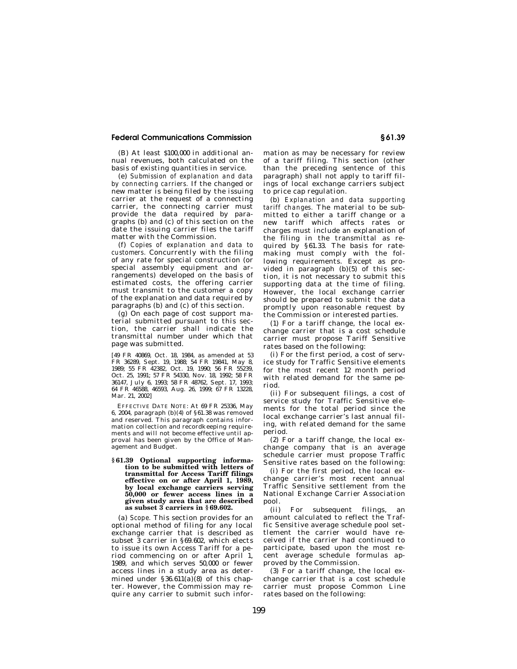(B) At least \$100,000 in additional annual revenues, both calculated on the basis of existing quantities in service.

(e) *Submission of explanation and data by connecting carriers.* If the changed or new matter is being filed by the issuing carrier at the request of a connecting carrier, the connecting carrier must provide the data required by paragraphs (b) and (c) of this section on the date the issuing carrier files the tariff matter with the Commission.

(f) *Copies of explanation and data to customers.* Concurrently with the filing of any rate for special construction (or special assembly equipment and arrangements) developed on the basis of estimated costs, the offering carrier must transmit to the customer a copy of the explanation and data required by paragraphs (b) and (c) of this section.

(g) On each page of cost support material submitted pursuant to this section, the carrier shall indicate the transmittal number under which that page was submitted.

[49 FR 40869, Oct. 18, 1984, as amended at 53 FR 36289, Sept. 19, 1988; 54 FR 19841, May 8, 1989; 55 FR 42382, Oct. 19, 1990; 56 FR 55239, Oct. 25, 1991; 57 FR 54330, Nov. 18, 1992; 58 FR 36147, July 6, 1993; 58 FR 48762, Sept. 17, 1993; 64 FR 46588, 46593, Aug. 26, 1999; 67 FR 13228, Mar. 21, 2002]

EFFECTIVE DATE NOTE: At 69 FR 25336, May 6, 2004, paragraph  $(b)(4)$  of §61.38 was removed and reserved. This paragraph contains information collection and recordkeeping requirements and will not become effective until approval has been given by the Office of Management and Budget.

#### **§ 61.39 Optional supporting information to be submitted with letters of transmittal for Access Tariff filings effective on or after April 1, 1989, by local exchange carriers serving 50,000 or fewer access lines in a given study area that are described as subset 3 carriers in § 69.602.**

(a) *Scope.* This section provides for an optional method of filing for any local exchange carrier that is described as subset 3 carrier in §69.602, which elects to issue its own Access Tariff for a period commencing on or after April 1, 1989, and which serves 50,000 or fewer access lines in a study area as determined under  $$36.611(a)(8)$  of this chapter. However, the Commission may require any carrier to submit such information as may be necessary for review of a tariff filing. This section (other than the preceding sentence of this paragraph) shall not apply to tariff filings of local exchange carriers subject to price cap regulation.

(b) *Explanation and data supporting tariff changes.* The material to be submitted to either a tariff change or a new tariff which affects rates or charges must include an explanation of the filing in the transmittal as required by §61.33. The basis for ratemaking must comply with the following requirements. Except as provided in paragraph (b)(5) of this section, it is not necessary to submit this supporting data at the time of filing. However, the local exchange carrier should be prepared to submit the data promptly upon reasonable request by the Commission or interested parties.

(1) For a tariff change, the local exchange carrier that is a cost schedule carrier must propose Tariff Sensitive rates based on the following:

(i) For the first period, a cost of service study for Traffic Sensitive elements for the most recent 12 month period with related demand for the same period.

(ii) For subsequent filings, a cost of service study for Traffic Sensitive elements for the total period since the local exchange carrier's last annual filing, with related demand for the same period.

(2) For a tariff change, the local exchange company that is an average schedule carrier must propose Traffic Sensitive rates based on the following:

(i) For the first period, the local exchange carrier's most recent annual Traffic Sensitive settlement from the National Exchange Carrier Association pool.

(ii) For subsequent filings, an amount calculated to reflect the Traffic Sensitive average schedule pool settlement the carrier would have received if the carrier had continued to participate, based upon the most recent average schedule formulas approved by the Commission.

(3) For a tariff change, the local exchange carrier that is a cost schedule carrier must propose Common Line rates based on the following: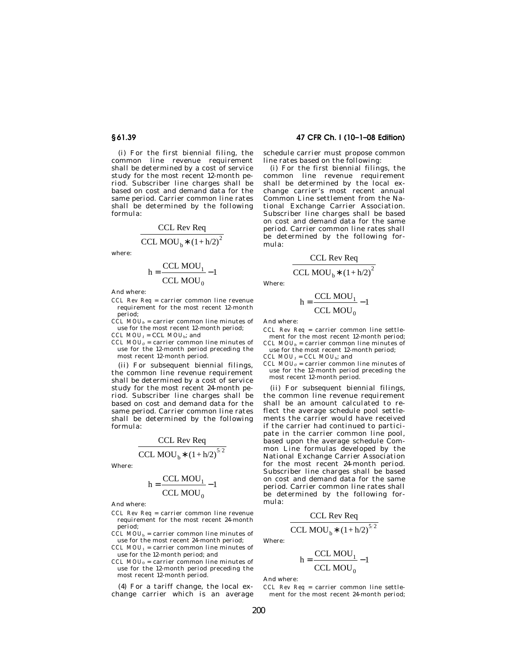(i) For the first biennial filing, the common line revenue requirement shall be determined by a cost of service study for the most recent 12-month period. Subscriber line charges shall be based on cost and demand data for the same period. Carrier common line rates shall be determined by the following formula:

$$
\frac{CCL \text{ Rev Reg}}{CCL \text{ MOU}_b * (1 + h/2)^2}
$$

where:

$$
h = \frac{CCL MOU_1}{CCL MOU_0} - 1
$$

And where:

*CCL Rev Req* = carrier common line revenue requirement for the most recent 12-month period;

 $CCL MOU<sub>b</sub>$  = carrier common line minutes of use for the most recent 12-month period; *CCL MOU1* = CCL *MOU*b; and

*CCL MOU0* = carrier common line minutes of use for the 12-month period preceding the most recent 12-month period.

(ii) For subsequent biennial filings, the common line revenue requirement shall be determined by a cost of service study for the most recent 24-month period. Subscriber line charges shall be based on cost and demand data for the same period. Carrier common line rates shall be determined by the following formula:

CCL Rev Req

CCL MOU<sub>b</sub>\* 
$$
(1 + h/2)^{5/2}
$$

Where:

$$
h = \frac{CCL MOU_1}{CCL MOU_0} - 1
$$

And where:

- *CCL Rev Req* = carrier common line revenue requirement for the most recent 24-month period;
- $CCL$   $MOU_b$  = carrier common line minutes of use for the most recent 24-month period;
- *CCL MOU*1 = carrier common line minutes of use for the 12-month period; and
- *CCL MOU*0 = carrier common line minutes of use for the 12-month period preceding the most recent 12-month period.

(4) For a tariff change, the local exchange carrier which is an average

# **§ 61.39 47 CFR Ch. I (10–1–08 Edition)**

schedule carrier must propose common line rates based on the following:

(i) For the first biennial filings, the common line revenue requirement shall be determined by the local exchange carrier's most recent annual Common Line settlement from the National Exchange Carrier Association. Subscriber line charges shall be based on cost and demand data for the same period. Carrier common line rates shall be determined by the following formula:

$$
\frac{CCL \text{ Rev Reg}}{CCL \text{ MOU}_b * (1 + h/2)^2}
$$

Where:

$$
h = \frac{CCL MOU_1}{CCL MOU_0} - 1
$$

And where:

- *CCL Rev Req* = carrier common line settlement for the most recent 12-month period;  $CCL MOL<sub>b</sub> =$  carrier common line minutes of
- use for the most recent 12-month period; *CCL MOU1* = *CCL MOU*b; and
- *CCL MOU0* = carrier common line minutes of use for the 12-month period preceding the most recent 12-month period.

(ii) For subsequent biennial filings, the common line revenue requirement shall be an amount calculated to reflect the average schedule pool settlements the carrier would have received if the carrier had continued to participate in the carrier common line pool, based upon the average schedule Common Line formulas developed by the National Exchange Carrier Association for the most recent 24-month period. Subscriber line charges shall be based on cost and demand data for the same period. Carrier common line rates shall be determined by the following formula:

CCL Rev Req

$$
\frac{\text{CCL RevReg}}{\text{L MOU}_{1} * (1 + h/2)^{5/2}}
$$

$$
CCL MOU_b * (1 + h/2)
$$

Where:

$$
h = \frac{CCL MOU_1}{CCL MOU_0} - 1
$$

And where:

*CCL Rev Req* = carrier common line settlement for the most recent 24-month period;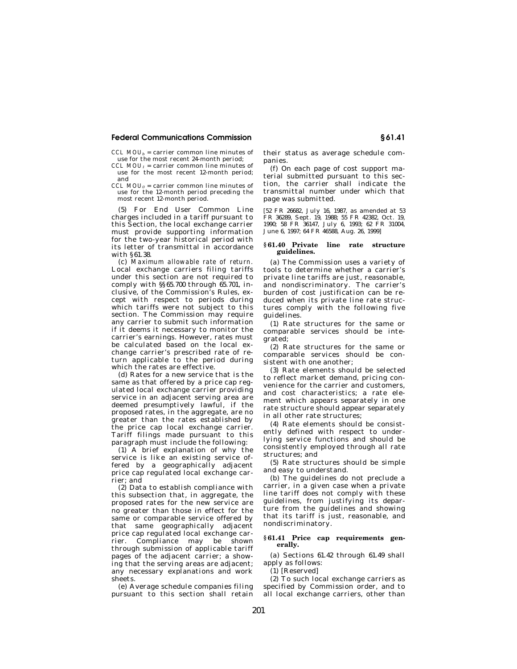$CCL MOL<sub>b</sub> =$  carrier common line minutes of use for the most recent 24-month period;

- *CCL MOU1* = carrier common line minutes of use for the most recent 12-month period; and
- *CCL MOU0* = carrier common line minutes of use for the 12-month period preceding the most recent 12-month period.

(5) For End User Common Line charges included in a tariff pursuant to this Section, the local exchange carrier must provide supporting information for the two-year historical period with its letter of transmittal in accordance with §61.38.

(c) *Maximum allowable rate of return.*  Local exchange carriers filing tariffs under this section are not required to comply with §§65.700 through 65.701, inclusive, of the Commission's Rules, except with respect to periods during which tariffs were not subject to this section. The Commission may require any carrier to submit such information if it deems it necessary to monitor the carrier's earnings. However, rates must be calculated based on the local exchange carrier's prescribed rate of return applicable to the period during which the rates are effective.

(d) Rates for a new service that is the same as that offered by a price cap regulated local exchange carrier providing service in an adjacent serving area are deemed presumptively lawful, if the proposed rates, in the aggregate, are no greater than the rates established by the price cap local exchange carrier. Tariff filings made pursuant to this paragraph must include the following:

(1) A brief explanation of why the service is like an existing service offered by a geographically adjacent price cap regulated local exchange carrier; and

(2) Data to establish compliance with this subsection that, in aggregate, the proposed rates for the new service are no greater than those in effect for the same or comparable service offered by that same geographically adjacent price cap regulated local exchange carrier. Compliance may be shown through submission of applicable tariff pages of the adjacent carrier; a showing that the serving areas are adjacent; any necessary explanations and work sheets.

(e) Average schedule companies filing pursuant to this section shall retain their status as average schedule companies.

(f) On each page of cost support material submitted pursuant to this section, the carrier shall indicate the transmittal number under which that page was submitted.

[52 FR 26682, July 16, 1987, as amended at 53 FR 36289, Sept. 19, 1988; 55 FR 42382, Oct. 19, 1990; 58 FR 36147, July 6, 1993; 62 FR 31004, June 6, 1997; 64 FR 46588, Aug. 26, 1999]

## **§ 61.40 Private line rate structure guidelines.**

(a) The Commission uses a variety of tools to determine whether a carrier's private line tariffs are just, reasonable, and nondiscriminatory. The carrier's burden of cost justification can be reduced when its private line rate structures comply with the following five guidelines.

(1) Rate structures for the same or comparable services should be integrated;

(2) Rate structures for the same or comparable services should be consistent with one another;

(3) Rate elements should be selected to reflect market demand, pricing convenience for the carrier and customers, and cost characteristics; a rate element which appears separately in one rate structure should appear separately in all other rate structures;

(4) Rate elements should be consistently defined with respect to underlying service functions and should be consistently employed through all rate structures; and

(5) Rate structures should be simple and easy to understand.

(b) The guidelines do not preclude a carrier, in a given case when a private line tariff does not comply with these guidelines, from justifying its departure from the guidelines and showing that its tariff is just, reasonable, and nondiscriminatory.

## **§ 61.41 Price cap requirements generally.**

(a) Sections 61.42 through 61.49 shall apply as follows:

(1) [Reserved]

(2) To such local exchange carriers as specified by Commission order, and to all local exchange carriers, other than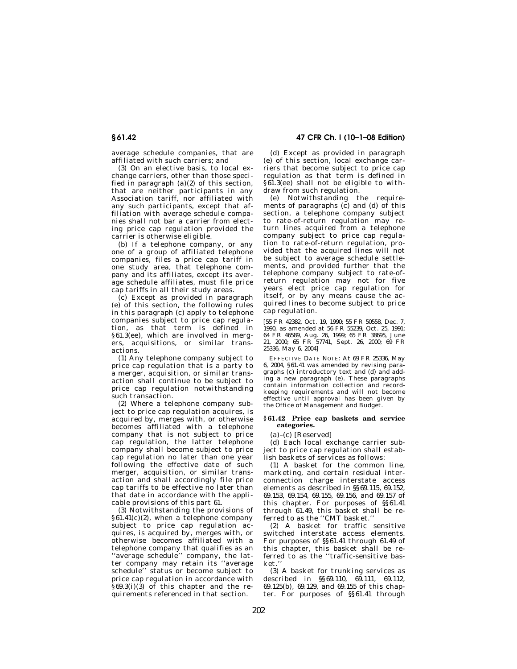average schedule companies, that are affiliated with such carriers; and

(3) On an elective basis, to local exchange carriers, other than those specified in paragraph  $(a)(2)$  of this section, that are neither participants in any Association tariff, nor affiliated with any such participants, except that affiliation with average schedule companies shall not bar a carrier from electing price cap regulation provided the carrier is otherwise eligible.

(b) If a telephone company, or any one of a group of affiliated telephone companies, files a price cap tariff in one study area, that telephone company and its affiliates, except its average schedule affiliates, must file price cap tariffs in all their study areas.

(c) Except as provided in paragraph (e) of this section, the following rules in this paragraph (c) apply to telephone companies subject to price cap regulation, as that term is defined in §61.3(ee), which are involved in mergers, acquisitions, or similar transactions.

(1) Any telephone company subject to price cap regulation that is a party to a merger, acquisition, or similar transaction shall continue to be subject to price cap regulation notwithstanding such transaction.

(2) Where a telephone company subject to price cap regulation acquires, is acquired by, merges with, or otherwise becomes affiliated with a telephone company that is not subject to price cap regulation, the latter telephone company shall become subject to price cap regulation no later than one year following the effective date of such merger, acquisition, or similar transaction and shall accordingly file price cap tariffs to be effective no later than that date in accordance with the applicable provisions of this part 61.

(3) Notwithstanding the provisions of  $§61.41(c)(2)$ , when a telephone company subject to price cap regulation acquires, is acquired by, merges with, or otherwise becomes affiliated with a telephone company that qualifies as an ''average schedule'' company, the latter company may retain its ''average schedule" status or become subject to price cap regulation in accordance with  $\S 69.3(i)(3)$  of this chapter and the requirements referenced in that section.

(d) Except as provided in paragraph (e) of this section, local exchange carriers that become subject to price cap regulation as that term is defined in §61.3(ee) shall not be eligible to withdraw from such regulation.

(e) Notwithstanding the requirements of paragraphs  $(c)$  and  $(d)$  of this section, a telephone company subject to rate-of-return regulation may return lines acquired from a telephone company subject to price cap regulation to rate-of-return regulation, provided that the acquired lines will not be subject to average schedule settlements, and provided further that the telephone company subject to rate-ofreturn regulation may not for five years elect price cap regulation for itself, or by any means cause the acquired lines to become subject to price cap regulation.

[55 FR 42382, Oct. 19, 1990; 55 FR 50558, Dec. 7, 1990, as amended at 56 FR 55239, Oct. 25, 1991; 64 FR 46589, Aug. 26, 1999; 65 FR 38695, June 21, 2000; 65 FR 57741, Sept. 26, 2000; 69 FR 25336, May 6, 2004]

EFFECTIVE DATE NOTE: At 69 FR 25336, May 6, 2004, §61.41 was amended by revising paragraphs (c) introductory text and (d) and adding a new paragraph (e). These paragraphs contain information collection and recordkeeping requirements and will not become effective until approval has been given by the Office of Management and Budget.

#### **§ 61.42 Price cap baskets and service categories.**

(a)–(c) [Reserved]

(d) Each local exchange carrier subject to price cap regulation shall establish baskets of services as follows:

(1) A basket for the common line, marketing, and certain residual interconnection charge interstate access elements as described in §§69.115, 69.152, 69.153, 69.154, 69.155, 69.156, and 69.157 of this chapter. For purposes of §§61.41 through 61.49, this basket shall be referred to as the ''CMT basket.''

(2) A basket for traffic sensitive switched interstate access elements. For purposes of §§61.41 through 61.49 of this chapter, this basket shall be referred to as the ''traffic-sensitive basket.

(3) A basket for trunking services as described in §§69.110, 69.111, 69.112, 69.125(b), 69.129, and 69.155 of this chapter. For purposes of §§61.41 through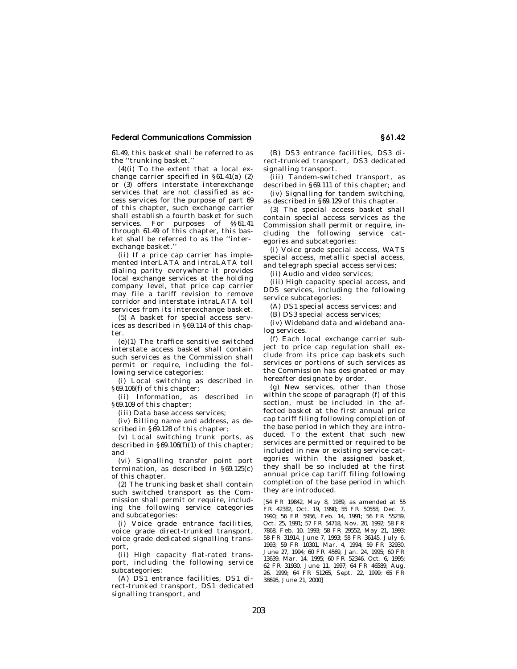61.49, this basket shall be referred to as the ''trunking basket.''

 $(4)(i)$  To the extent that a local exchange carrier specified in §61.41(a) (2) or (3) offers interstate interexchange services that are not classified as access services for the purpose of part 69 of this chapter, such exchange carrier shall establish a fourth basket for such services. For purposes of §§61.41 through 61.49 of this chapter, this basket shall be referred to as the ''interexchange basket.''

(ii) If a price cap carrier has implemented interLATA and intraLATA toll dialing parity everywhere it provides local exchange services at the holding company level, that price cap carrier may file a tariff revision to remove corridor and interstate intraLATA toll services from its interexchange basket.

(5) A basket for special access services as described in §69.114 of this chapter.

(e)(1) The traffice sensitive switched interstate access basket shall contain such services as the Commission shall permit or require, including the following service categories:

(i) Local switching as described in §69.106(f) of this chapter;

(ii) Information, as described in §69.109 of this chapter;

(iii) Data base access services;

(iv) Billing name and address, as described in §69.128 of this chapter;

(v) Local switching trunk ports, as described in §69.106(f) $(1)$  of this chapter; and

(vi) Signalling transfer point port termination, as described in  $§ 69.125(c)$ of this chapter.

(2) The trunking basket shall contain such switched transport as the Commission shall permit or require, including the following service categories and subcategories:

(i) Voice grade entrance facilities, voice grade direct-trunked transport, voice grade dedicated signalling transport,

(ii) High capacity flat-rated transport, including the following service subcategories:

(A) DS1 entrance facilities, DS1 direct-trunked transport, DS1 dedicated signalling transport, and

(B) DS3 entrance facilities, DS3 direct-trunked transport, DS3 dedicated signalling transport.

(iii) Tandem-switched transport, as described in §69.111 of this chapter; and

(iv) Signalling for tandem switching, as described in §69.129 of this chapter.

(3) The special access basket shall contain special access services as the Commission shall permit or require, including the following service categories and subcategories:

(i) Voice grade special access, WATS special access, metallic special access, and telegraph special access services;

(ii) Audio and video services;

(iii) High capacity special access, and DDS services, including the following service subcategories:

(A) DS1 special access services; and

(B) DS3 special access services;

(iv) Wideband data and wideband analog services.

(f) Each local exchange carrier subject to price cap regulation shall exclude from its price cap baskets such services or portions of such services as the Commission has designated or may hereafter designate by order.

(g) New services, other than those within the scope of paragraph (f) of this section, must be included in the affected basket at the first annual price cap tariff filing following completion of the base period in which they are introduced. To the extent that such new services are permitted or required to be included in new or existing service categories within the assigned basket, they shall be so included at the first annual price cap tariff filing following completion of the base period in which they are introduced.

[54 FR 19842, May 8, 1989, as amended at 55 FR 42382, Oct. 19, 1990; 55 FR 50558, Dec. 7, 1990; 56 FR 5956, Feb. 14, 1991; 56 FR 55239, Oct. 25, 1991; 57 FR 54718, Nov. 20, 1992; 58 FR 7868, Feb. 10, 1993; 58 FR 29552, May 21, 1993; 58 FR 31914, June 7, 1993; 58 FR 36145, July 6, 1993; 59 FR 10301, Mar. 4, 1994; 59 FR 32930, June 27, 1994; 60 FR 4569, Jan. 24, 1995; 60 FR 13639, Mar. 14, 1995; 60 FR 52346, Oct. 6, 1995; 62 FR 31930, June 11, 1997; 64 FR 46589, Aug. 26, 1999; 64 FR 51265, Sept. 22, 1999; 65 FR 38695, June 21, 2000]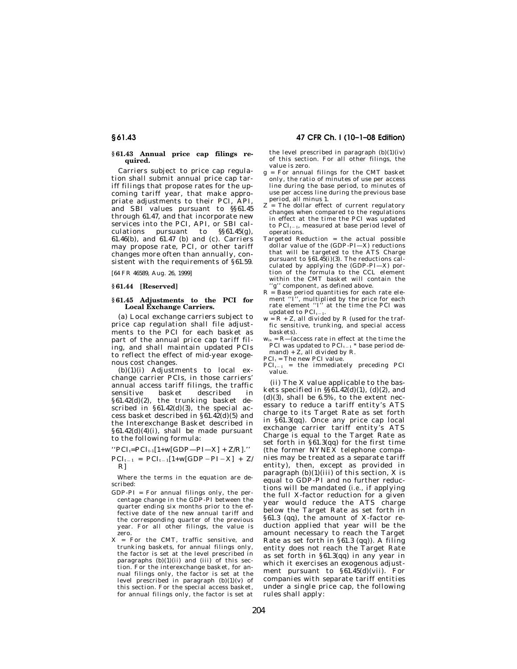### **§ 61.43 Annual price cap filings required.**

Carriers subject to price cap regulation shall submit annual price cap tariff filings that propose rates for the upcoming tariff year, that make appropriate adjustments to their PCI, API, and SBI values pursuant to §§61.45 through  $61.47$ , and that incorporate new services into the PCI, API, or SBI calculations pursuant to  $\frac{\$61.45(g)}{g}$ . pursuant to  $\S$ §61.45(g),  $61.46(b)$ , and  $61.47$  (b) and (c). Carriers may propose rate, PCI, or other tariff changes more often than annually, consistent with the requirements of §61.59.

[64 FR 46589, Aug. 26, 1999]

## **§ 61.44 [Reserved]**

#### **§ 61.45 Adjustments to the PCI for Local Exchange Carriers.**

(a) Local exchange carriers subject to price cap regulation shall file adjustments to the PCI for each basket as part of the annual price cap tariff filing, and shall maintain updated PCIs to reflect the effect of mid-year exogenous cost changes.

 $(b)(1)(i)$  Adjustments to local exchange carrier PCIs, in those carriers' annual access tariff filings, the traffic sensitive basket described in §61.42(d)(2), the trunking basket described in  $§61.42(d)(3)$ , the special access basket described in §61.42(d)(5) and the Interexchange Basket described in  $§61.42(d)(4)(i)$ , shall be made pursuant to the following formula:

 $"PCI_t = PCI_{t-1}[1+w[GDP-PI-X] + Z/R]."$ 

 $PCI_{t-1} = PCI_{t-1}[1+w[GDP-PI-X] + Z/$ R]

Where the terms in the equation are described:

- $GDP-PI = For annual filings only, the per$ centage change in the GDP-PI between the quarter ending six months prior to the effective date of the new annual tariff and the corresponding quarter of the previous year. For all other filings, the value is zero.
- X = For the CMT, traffic sensitive, and trunking baskets, for annual filings only, the factor is set at the level prescribed in paragraphs  $(b)(1)(ii)$  and  $(iii)$  of this section. For the interexchange basket, for annual filings only, the factor is set at the level prescribed in paragraph (b)(1)(v) of this section. For the special access basket, for annual filings only, the factor is set at

## **§ 61.43 47 CFR Ch. I (10–1–08 Edition)**

the level prescribed in paragraph  $(b)(1)(iv)$ of this section. For all other filings, the value is zero.

- g = For annual filings for the CMT basket only, the ratio of minutes of use per access line during the base period, to minutes of use per access line during the previous base period, all minus 1.
- $Z =$ The dollar effect of current regulatory changes when compared to the regulations in effect at the time the PCI was updated to  $PCI_{t-1}$ , measured at base period level of operations.
- Targeted Reduction = the actual possible dollar value of the (GDP-PI—X) reductions that will be targeted to the ATS Charge pursuant to  $\S 61.45(i)(3)$ . The reductions calculated by applying the (GDP-PI—X) por-tion of the formula to the CCL element within the CMT basket will contain the 'g'' component, as defined above.
- R = Base period quantities for each rate ele-ment ''I'', multiplied by the price for each rate element "I" at the time the PCI was updated to  $PCI_{t-1}$ .
- $w = R + Z$ , all divided by R (used for the traffic sensitive, trunking, and special access baskets).
- $w_{ix} = R (access\ rate\ in\ effect\ at\ the\ time\ the$ PCI was updated to  $PCI_{t-1} *$  base period demand) +  $Z$ , all divided by R.

 $PCI_t$  = The new PCI value.

 $PCI_{t-1}$  = the immediately preceding PCI value.

(ii) The X value applicable to the baskets specified in  $\S\$ 61.42(d)(1), (d)(2), and  $(d)(3)$ , shall be 6.5%, to the extent necessary to reduce a tariff entity's ATS charge to its Target Rate as set forth in §61.3(qq). Once any price cap local exchange carrier tariff entity's ATS Charge is equal to the Target Rate as set forth in §61.3(qq) for the first time (the former NYNEX telephone companies may be treated as a separate tariff entity), then, except as provided in paragraph  $(b)(1)(iii)$  of this section, X is equal to GDP-PI and no further reductions will be mandated (*i.e.,* if applying the full X-factor reduction for a given year would reduce the ATS charge below the Target Rate as set forth in §61.3 (qq), the amount of X-factor reduction applied that year will be the amount necessary to reach the Target Rate as set forth in §61.3 (qq)). A filing entity does not reach the Target Rate as set forth in §61.3(qq) in any year in which it exercises an exogenous adjustment pursuant to  $§61.\overline{45}$ (d)(vii). For companies with separate tariff entities under a single price cap, the following rules shall apply: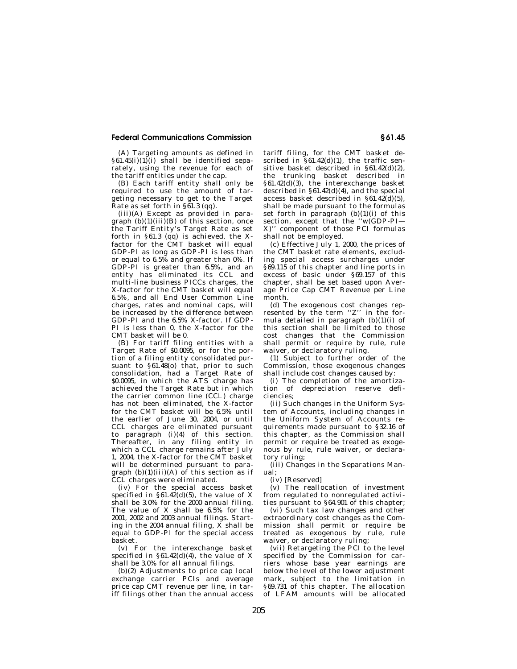(A) Targeting amounts as defined in  $§61.45(i)(1)(i)$  shall be identified separately, using the revenue for each of the tariff entities under the cap.

(B) Each tariff entity shall only be required to use the amount of targeting necessary to get to the Target Rate as set forth in § $\widetilde{6}1.3$  (qq).

(iii)(A) Except as provided in paragraph  $(b)(1)(iii)(B)$  of this section, once the Tariff Entity's Target Rate as set forth in §61.3 (qq) is achieved, the Xfactor for the CMT basket will equal GDP-PI as long as GDP-PI is less than or equal to 6.5% and greater than 0%. If GDP-PI is greater than 6.5%, and an entity has eliminated its CCL and multi-line business PICCs charges, the X-factor for the CMT basket will equal 6.5%, and all End User Common Line charges, rates and nominal caps, will be increased by the difference between GDP-PI and the 6.5% X-factor. If GDP-PI is less than 0, the X-factor for the CMT basket will be 0.

(B) For tariff filing entities with a Target Rate of \$0.0095, or for the portion of a filing entity consolidated pursuant to §61.48(o) that, prior to such consolidation, had a Target Rate of \$0.0095, in which the ATS charge has achieved the Target Rate but in which the carrier common line (CCL) charge has not been eliminated, the X-factor for the CMT basket will be 6.5% until the earlier of June 30, 2004, or until CCL charges are eliminated pursuant to paragraph  $(i)(4)$  of this section. Thereafter, in any filing entity in which a CCL charge remains after July 1, 2004, the X-factor for the CMT basket will be determined pursuant to paragraph  $(b)(1)(iii)(A)$  of this section as if CCL charges were eliminated.

(iv) For the special access basket specified in  $\S61.42(d)(5)$ , the value of X shall be 3.0% for the 2000 annual filing. The value of X shall be 6.5% for the 2001, 2002 and 2003 annual filings. Starting in the 2004 annual filing,  $\overline{X}$  shall be equal to GDP-PI for the special access basket.

(v) For the interexchange basket specified in  $$61.42$ (d)(4), the value of X shall be 3.0% for all annual filings.

(b)(2) Adjustments to price cap local exchange carrier PCIs and average price cap CMT revenue per line, in tariff filings other than the annual access tariff filing, for the CMT basket described in  $\S 61.42(d)(1)$ , the traffic sensitive basket described in §61.42(d)(2), the trunking basket described in §61.42(d)(3), the interexchange basket described in  $\S 61.42(d)(4)$ , and the special access basket described in  $§61.42(d)(5)$ , shall be made pursuant to the formulas set forth in paragraph  $(b)(1)(i)$  of this section, except that the ''w(GDP-PI— X)'' component of those PCI formulas shall not be employed.

(c) Effective  $\overline{J}$ uly 1, 2000, the prices of the CMT basket rate elements, excluding special access surcharges under §69.115 of this chapter and line ports in excess of basic under §69.157 of this chapter, shall be set based upon Average Price Cap CMT Revenue per Line month.

(d) The exogenous cost changes represented by the term ''Z'' in the formula detailed in paragraph  $(b)(1)(i)$  of this section shall be limited to those cost changes that the Commission shall permit or require by rule, rule waiver, or declaratory ruling.

(1) Subject to further order of the Commission, those exogenous changes shall include cost changes caused by:

(i) The completion of the amortization of depreciation reserve deficiencies;

(ii) Such changes in the Uniform System of Accounts, including changes in the Uniform System of Accounts requirements made pursuant to §32.16 of this chapter, as the Commission shall permit or require be treated as exogenous by rule, rule waiver, or declaratory ruling;

(iii) Changes in the Separations Manual;

(iv) [Reserved]

(v) The reallocation of investment from regulated to nonregulated activities pursuant to §64.901 of this chapter;

(vi) Such tax law changes and other extraordinary cost changes as the Commission shall permit or require be treated as exogenous by rule, rule waiver, or declaratory ruling;

(vii) Retargeting the PCI to the level specified by the Commission for carriers whose base year earnings are below the level of the lower adjustment mark, subject to the limitation in §69.731 of this chapter. The allocation of LFAM amounts will be allocated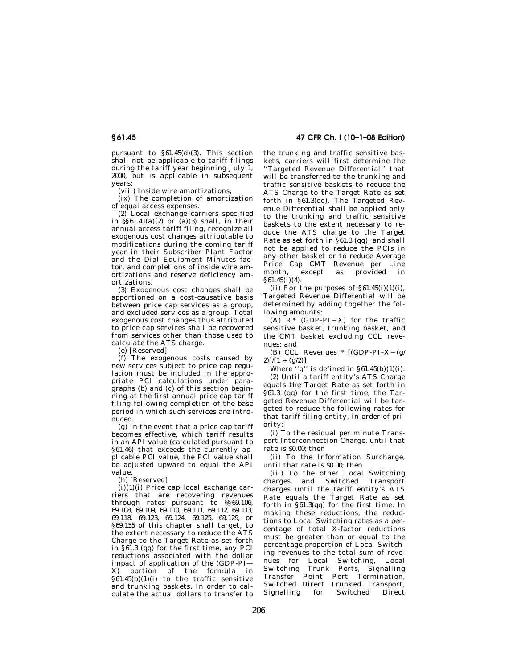pursuant to §61.45(d)(3). This section shall not be applicable to tariff filings during the tariff year beginning July 1, 2000, but is applicable in subsequent years;

(viii) Inside wire amortizations;

(ix) The completion of amortization of equal access expenses.

(2) Local exchange carriers specified in  $\frac{6}{56}61.41(a)(2)$  or (a)(3) shall, in their annual access tariff filing, recognize all exogenous cost changes attributable to modifications during the coming tariff year in their Subscriber Plant Factor and the Dial Equipment Minutes factor, and completions of inside wire amortizations and reserve deficiency amortizations.

(3) Exogenous cost changes shall be apportioned on a cost-causative basis between price cap services as a group, and excluded services as a group. Total exogenous cost changes thus attributed to price cap services shall be recovered from services other than those used to calculate the ATS charge.

(e) [Reserved]

(f) The exogenous costs caused by new services subject to price cap regulation must be included in the appropriate PCI calculations under paragraphs (b) and (c) of this section beginning at the first annual price cap tariff filing following completion of the base period in which such services are introduced.

(g) In the event that a price cap tariff becomes effective, which tariff results in an API value (calculated pursuant to §61.46) that exceeds the currently applicable PCI value, the PCI value shall be adjusted upward to equal the API value.

(h) [Reserved]

 $(i)(1)(i)$  Price cap local exchange carriers that are recovering revenues through rates pursuant to §§69.106, 69.108, 69.109, 69.110, 69.111, 69.112, 69.113, 69.118, 69.123, 69.124, 69.125, 69.129, or §69.155 of this chapter shall target, to the extent necessary to reduce the ATS Charge to the Target Rate as set forth in §61.3 (qq) for the first time, any PCI reductions associated with the dollar impact of application of the (GDP-PI— X) portion of the formula in  $§61.45(b)(1)(i)$  to the traffic sensitive and trunking baskets. In order to calculate the actual dollars to transfer to

**§ 61.45 47 CFR Ch. I (10–1–08 Edition)** 

the trunking and traffic sensitive baskets, carriers will first determine the 'Targeted Revenue Differential'' that will be transferred to the trunking and traffic sensitive baskets to reduce the ATS Charge to the Target Rate as set forth in §61.3(qq). The Targeted Revenue Differential shall be applied only to the trunking and traffic sensitive baskets to the extent necessary to reduce the ATS charge to the Target Rate as set forth in §61.3 (qq), and shall not be applied to reduce the PCIs in any other basket or to reduce Average Price Cap CMT Revenue per Line month, except as provided in §61.45(i)(4).

(ii) For the purposes of  $\S 61.45(i)(1)(i)$ , Targeted Revenue Differential will be determined by adding together the following amounts:

(A)  $R^*$  (GDP-PI-X) for the traffic sensitive basket, trunking basket, and the CMT basket excluding CCL revenues; and

(B) CCL Revenues  $*(GDP-PI-X-(g/\gamma))$  $2)$ ]/[1 + (g/2)]

Where " $g$ " is defined in  $\S 61.45(b)(1)(i)$ .

(2) Until a tariff entity's ATS Charge equals the Target Rate as set forth in §61.3 (qq) for the first time, the Targeted Revenue Differential will be targeted to reduce the following rates for that tariff filing entity, in order of priority:

(i) To the residual per minute Transport Interconnection Charge, until that rate is \$0.00; then

(ii) To the Information Surcharge, until that rate is \$0.00; then

(iii) To the other Local Switching charges and Switched Transport charges until the tariff entity's ATS Rate equals the Target Rate as set forth in §61.3(qq) for the first time. In making these reductions, the reductions to Local Switching rates as a percentage of total X-factor reductions must be greater than or equal to the percentage proportion of Local Switching revenues to the total sum of revenues for Local Switching, Local Switching Trunk Ports, Signalling Transfer Point Port Termination, Switched Direct Trunked Transport, Signalling for Switched Direct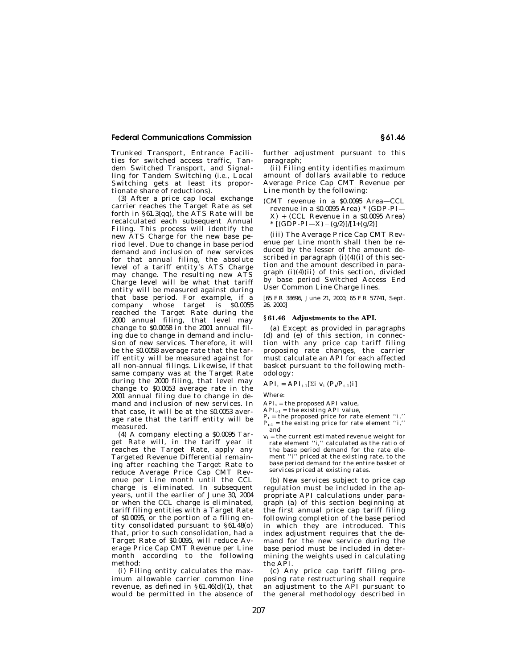Trunked Transport, Entrance Facilities for switched access traffic, Tandem Switched Transport, and Signalling for Tandem Switching (*i.e.,* Local Switching gets at least its proportionate share of reductions).

(3) After a price cap local exchange carrier reaches the Target Rate as set forth in  $\S 61.3$ (qq), the ATS Rate will be recalculated each subsequent Annual Filing. This process will identify the new ATS Charge for the new base period level. Due to change in base period demand and inclusion of new services for that annual filing, the absolute level of a tariff entity's ATS Charge may change. The resulting new ATS Charge level will be what that tariff entity will be measured against during that base period. For example, if a company whose target is \$0.0055 reached the Target Rate during the 2000 annual filing, that level may change to \$0.0058 in the 2001 annual filing due to change in demand and inclusion of new services. Therefore, it will be the \$0.0058 average rate that the tariff entity will be measured against for all non-annual filings. Likewise, if that same company was at the Target Rate during the 2000 filing, that level may change to \$0.0053 average rate in the 2001 annual filing due to change in demand and inclusion of new services. In that case, it will be at the \$0.0053 average rate that the tariff entity will be measured.

(4) A company electing a \$0.0095 Target Rate will, in the tariff year it reaches the Target Rate, apply any Targeted Revenue Differential remaining after reaching the Target Rate to reduce Average Price Cap CMT Revenue per Line month until the CCL charge is eliminated. In subsequent years, until the earlier of June 30, 2004 or when the CCL charge is eliminated, tariff filing entities with a Target Rate of \$0.0095, or the portion of a filing entity consolidated pursuant to §61.48(o) that, prior to such consolidation, had a Target Rate of \$0.0095, will reduce Average Price Cap CMT Revenue per Line month according to the following method:

(i) Filing entity calculates the maximum allowable carrier common line revenue, as defined in §61.46(d)(1), that would be permitted in the absence of further adjustment pursuant to this paragraph;

(ii) Filing entity identifies maximum amount of dollars available to reduce Average Price Cap CMT Revenue per Line month by the following:

(CMT revenue in a \$0.0095 Area—CCL revenue in a \$0.0095 Area) \* (GDP-PI—  $X$ ) + (CCL Revenue in a \$0.0095 Area) \*  $[(GDP-PI-X)-(g/2)]/[1+(g/2)]$ 

(iii) The Average Price Cap CMT Revenue per Line month shall then be reduced by the lesser of the amount described in paragraph  $(i)(4)(i)$  of this section and the amount described in paragraph (i)(4)(ii) of this section, divided by base period Switched Access End User Common Line Charge lines.

[65 FR 38696, June 21, 2000; 65 FR 57741, Sept. 26, 2000]

#### **§ 61.46 Adjustments to the API.**

(a) Except as provided in paragraphs (d) and (e) of this section, in connection with any price cap tariff filing proposing rate changes, the carrier must calculate an API for each affected basket pursuant to the following methodology:

 $API_t = API_{t-1}[\Sigma i \ v_i (P_t/P_{t-1})i]$ 

Where:

 $API_t =$  the proposed API value,

 $API_{t-1}$  = the existing API value,

 $P_t$  = the proposed price for rate element "i,"  $P_{t-1}$  = the existing price for rate element "i," and

 $v_i$  = the current estimated revenue weight for rate element ''i,'' calculated as the ratio of the base period demand for the rate element ''i'' priced at the existing rate, to the base period demand for the entire basket of services priced at existing rates.

(b) New services subject to price cap regulation must be included in the appropriate API calculations under paragraph (a) of this section beginning at the first annual price cap tariff filing following completion of the base period in which they are introduced. This index adjustment requires that the demand for the new service during the base period must be included in determining the weights used in calculating the API.

(c) Any price cap tariff filing proposing rate restructuring shall require an adjustment to the API pursuant to the general methodology described in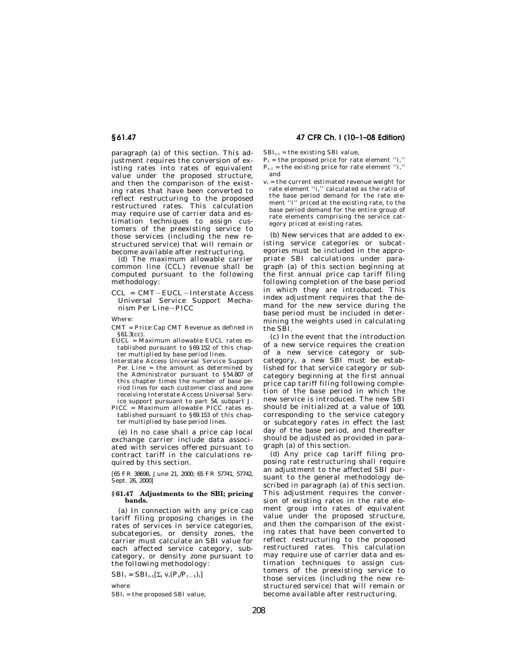paragraph (a) of this section. This adjustment requires the conversion of existing rates into rates of equivalent value under the proposed structure, and then the comparison of the existing rates that have been converted to reflect restructuring to the proposed restructured rates. This calculation may require use of carrier data and estimation techniques to assign customers of the preexisting service to those services (including the new restructured service) that will remain or become available after restructuring.

(d) The maximum allowable carrier common line (CCL) revenue shall be computed pursuant to the following methodology:

CCL = CMT-EUCL-Interstate Access Universal Service Support Mechanism Per Line-PICC

Where:

- CMT = Price Cap CMT Revenue as defined in §61.3(cc).
- EUCL = Maximum allowable EUCL rates established pursuant to §69.152 of this chapter multiplied by base period lines.
- Interstate Access Universal Service Support Per Line = the amount as determined by the Administrator pursuant to §54.807 of this chapter times the number of base period lines for each customer class and zone receiving Interstate Access Universal Service support pursuant to part 54, subpart J.
- PICC = Maximum allowable PICC rates established pursuant to §69.153 of this chapter multiplied by base period lines.

(e) In no case shall a price cap local exchange carrier include data associated with services offered pursuant to contract tariff in the calculations required by this section.

[65 FR 38698, June 21, 2000; 65 FR 57741, 57742, Sept. 26, 2000]

## **§ 61.47 Adjustments to the SBI; pricing bands.**

(a) In connection with any price cap tariff filing proposing changes in the rates of services in service categories, subcategories, or density zones, the carrier must calculate an SBI value for each affected service category, subcategory, or density zone pursuant to the following methodology:

 $SBI_t = SBI_{t-1}[\Sigma_i V_i(P_t/P_{t-1})_i]$ 

where  $SBI_t =$  the proposed SBI value,

# **§ 61.47 47 CFR Ch. I (10–1–08 Edition)**

 $\text{SBI}_{\text{t-1}}$  = the existing SBI value,

- $P_t$  = the proposed price for rate element "i,"
- $P_{t-1}$  = the existing price for rate element "i," and
- $v_i$  = the current estimated revenue weight for rate element ''i,'' calculated as the ratio of the base period demand for the rate element ''i'' priced at the existing rate, to the base period demand for the entire group of rate elements comprising the service category priced at existing rates.

(b) New services that are added to existing service categories or subcategories must be included in the appropriate SBI calculations under paragraph (a) of this section beginning at the first annual price cap tariff filing following completion of the base period in which they are introduced. This index adjustment requires that the demand for the new service during the base period must be included in determining the weights used in calculating the SBI.

(c) In the event that the introduction of a new service requires the creation of a new service category or subcategory, a new SBI must be established for that service category or subcategory beginning at the first annual price cap tariff filing following completion of the base period in which the new service is introduced. The new SBI should be initialized at a value of 100, corresponding to the service category or subcategory rates in effect the last day of the base period, and thereafter should be adjusted as provided in paragraph (a) of this section.

(d) Any price cap tariff filing proposing rate restructuring shall require an adjustment to the affected SBI pursuant to the general methodology described in paragraph (a) of this section. This adjustment requires the conversion of existing rates in the rate element group into rates of equivalent value under the proposed structure, and then the comparison of the existing rates that have been converted to reflect restructuring to the proposed restructured rates. This calculation may require use of carrier data and estimation techniques to assign customers of the preexisting service to those services (including the new restructured service) that will remain or become available after restructuring.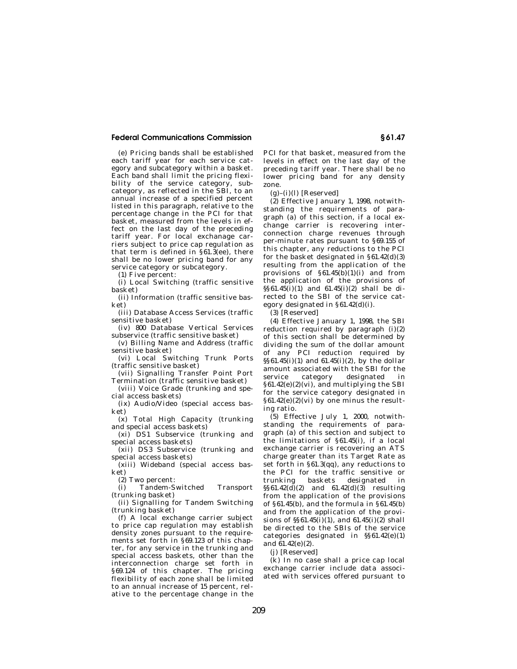(e) Pricing bands shall be established each tariff year for each service category and subcategory within a basket. Each band shall limit the pricing flexibility of the service category, subcategory, as reflected in the SBI, to an annual increase of a specified percent listed in this paragraph, relative to the percentage change in the PCI for that basket, measured from the levels in effect on the last day of the preceding tariff year. For local exchanage carriers subject to price cap regulation as that term is defined in  $\S 61.3$ (ee), there shall be no lower pricing band for any service category or subcategory.

(1) Five percent:

(i) Local Switching (traffic sensitive basket)

(ii) Information (traffic sensitive basket)

(iii) Database Access Services (traffic sensitive basket)

(iv) 800 Database Vertical Services subservice (traffic sensitive basket)

(v) Billing Name and Address (traffic sensitive basket)

(vi) Local Switching Trunk Ports (traffic sensitive basket)

(vii) Signalling Transfer Point Port Termination (traffic sensitive basket)

(viii) Voice Grade (trunking and special access baskets)

(ix) Audio/Video (special access basket)

(x) Total High Capacity (trunking and special access baskets)

(xi) DS1 Subservice (trunking and special access baskets)

(xii) DS3 Subservice (trunking and special access baskets)

(xiii) Wideband (special access basket)

(2) Two percent:

(i) Tandem-Switched Transport (trunking basket)

(ii) Signalling for Tandem Switching (trunking basket)

(f) A local exchange carrier subject to price cap regulation may establish density zones pursuant to the requirements set forth in §69.123 of this chapter, for any service in the trunking and special access baskets, other than the interconnection charge set forth in §69.124 of this chapter. The pricing flexibility of each zone shall be limited to an annual increase of 15 percent, relative to the percentage change in the PCI for that basket, measured from the levels in effect on the last day of the preceding tariff year. There shall be no lower pricing band for any density zone.

 $(g)-(i)(l)$  [Reserved]

(2) Effective January 1, 1998, notwithstanding the requirements of paragraph (a) of this section, if a local exchange carrier is recovering interconnection charge revenues through per-minute rates pursuant to §69.155 of this chapter, any reductions to the PCI for the basket designated in  $\S 61.42(d)(3)$ resulting from the application of the provisions of  $§61.45(b)(1)(i)$  and from the application of the provisions of  $\frac{1}{5861.45(i)(1)}$  and  $61.45(i)(2)$  shall be directed to the SBI of the service category designated in §61.42(d)(i).

(3) [Reserved]

(4) Effective January 1, 1998, the SBI reduction required by paragraph (i)(2) of this section shall be determined by dividing the sum of the dollar amount of any PCI reduction required by  $\S§61.45(i)(1)$  and  $61.45(i)(2)$ , by the dollar amount associated with the SBI for the service category designated in §61.42(e)(2)(vi), and multiplying the SBI for the service category designated in  $§61.42(e)(2)(vi)$  by one minus the resulting ratio.

(5) Effective July 1, 2000, notwithstanding the requirements of paragraph (a) of this section and subject to the limitations of §61.45(i), if a local exchange carrier is recovering an ATS charge greater than its Target Rate as set forth in §61.3(qq), any reductions to the PCI for the traffic sensitive or trunking baskets designated in  $§$ §61.42(d)(2) and 61.42(d)(3) resulting from the application of the provisions of  $§61.45(b)$ , and the formula in  $§61.45(b)$ and from the application of the provisions of  $\S\$ 61.45(i)(1), and 61.45(i)(2) shall be directed to the SBIs of the service categories designated in §§61.42(e)(1) and 61.42(e)(2).

(j) [Reserved]

(k) In no case shall a price cap local exchange carrier include data associated with services offered pursuant to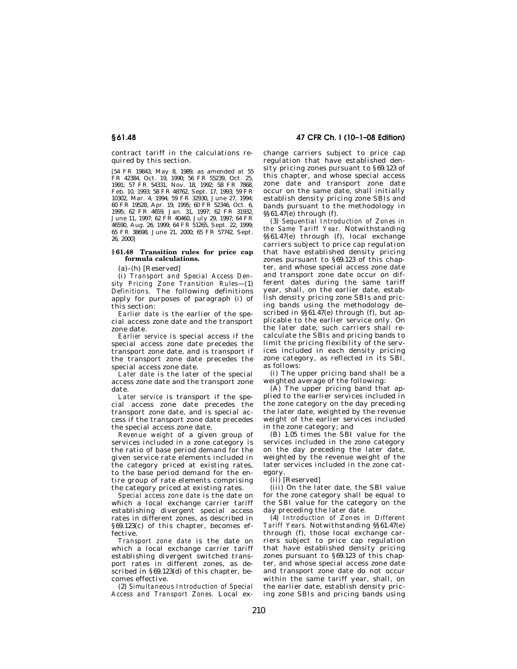contract tariff in the calculations required by this section.

[54 FR 19843, May 8, 1989, as amended at 55 FR 42384, Oct. 19, 1990; 56 FR 55239, Oct. 25, 1991; 57 FR 54331, Nov. 18, 1992; 58 FR 7868, Feb. 10, 1993; 58 FR 48762, Sept. 17, 1993; 59 FR 10302, Mar. 4, 1994; 59 FR 32930, June 27, 1994; 60 FR 19528, Apr. 19, 1995; 60 FR 52346, Oct. 6, 1995; 62 FR 4659, Jan. 31, 1997; 62 FR 31932, June 11, 1997; 62 FR 40460, July 29, 1997; 64 FR 46590, Aug. 26, 1999; 64 FR 51265, Sept. 22, 1999; 65 FR 38698, June 21, 2000; 65 FR 57742, Sept. 26, 2000]

## **§ 61.48 Transition rules for price cap formula calculations.**

(a)–(h) [Reserved]

(i) *Transport and Special Access Density Pricing Zone Transition Rules*—(1) *Definitions.* The following definitions apply for purposes of paragraph (i) of this section:

*Earlier date* is the earlier of the special access zone date and the transport zone date.

*Earlier service* is special access if the special access zone date precedes the transport zone date, and is transport if the transport zone date precedes the special access zone date.

*Later date* is the later of the special access zone date and the transport zone date.

*Later service* is transport if the special access zone date precedes the transport zone date, and is special access if the transport zone date precedes the special access zone date.

*Revenue weight* of a given group of services included in a zone category is the ratio of base period demand for the given service rate elements included in the category priced at existing rates, to the base period demand for the entire group of rate elements comprising the category priced at existing rates.

*Special access zone date* is the date on which a local exchange carrier tariff establishing divergent special access rates in different zones, as described in §69.123(c) of this chapter, becomes effective.

*Transport zone date* is the date on which a local exchange carrier tariff establishing divergent switched transport rates in different zones, as described in §69.123(d) of this chapter, becomes effective.

(2) *Simultaneous Introduction of Special Access and Transport Zones.* Local ex-

## **§ 61.48 47 CFR Ch. I (10–1–08 Edition)**

change carriers subject to price cap regulation that have established density pricing zones pursuant to §69.123 of this chapter, and whose special access zone date and transport zone date occur on the same date, shall initially establish density pricing zone SBIs and bands pursuant to the methodology in  $\S\S 61.47(e)$  through (f).

(3) *Sequential Introduction of Zones in the Same Tariff Year.* Notwithstanding §§61.47(e) through (f), local exchange carriers subject to price cap regulation that have established density pricing zones pursuant to §69.123 of this chapter, and whose special access zone date and transport zone date occur on different dates during the same tariff year, shall, on the earlier date, establish density pricing zone SBIs and pricing bands using the methodology described in  $\S$ §61.47(e) through (f), but applicable to the earlier service only. On the later date, such carriers shall recalculate the SBIs and pricing bands to limit the pricing flexibility of the services included in each density pricing zone category, as reflected in its SBI, as follows:

(i) The upper pricing band shall be a weighted average of the following:

(A) The upper pricing band that applied to the earlier services included in the zone category on the day preceding the later date, weighted by the revenue weight of the earlier services included in the zone category; and

(B) 1.05 times the SBI value for the services included in the zone category on the day preceding the later date, weighted by the revenue weight of the later services included in the zone category.

(ii) [Reserved]

(iii) On the later date, the SBI value for the zone category shall be equal to the SBI value for the category on the day preceding the later date.

(4) *Introduction of Zones in Different Tariff Years.* Notwithstanding §§61.47(e) through (f), those local exchange carriers subject to price cap regulation that have established density pricing zones pursuant to  $§69.123$  of this chapter, and whose special access zone date and transport zone date do not occur within the same tariff year, shall, on the earlier date, establish density pricing zone SBIs and pricing bands using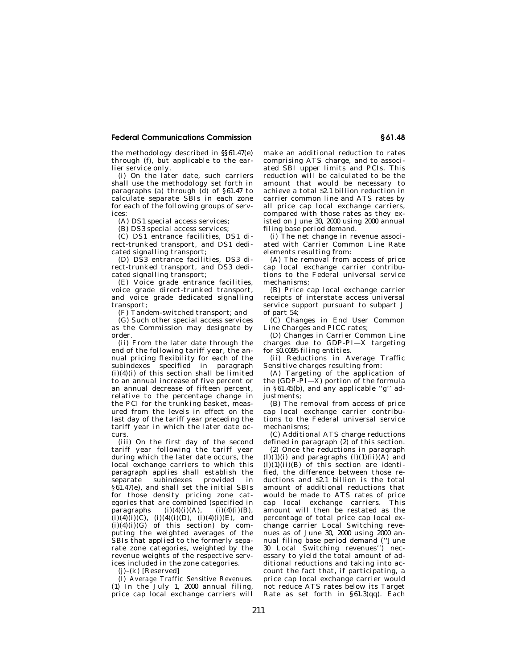the methodology described in §§61.47(e) through (f), but applicable to the earlier service only.

(i) On the later date, such carriers shall use the methodology set forth in paragraphs (a) through (d) of §61.47 to calculate separate SBIs in each zone for each of the following groups of services:

(A) DS1 special access services;

(B) DS3 special access services;

(C) DS1 entrance facilities, DS1 direct-trunked transport, and DS1 dedicated signalling transport;

(D) DS3 entrance facilities, DS3 direct-trunked transport, and DS3 dedicated signalling transport;

(E) Voice grade entrance facilities, voice grade direct-trunked transport, and voice grade dedicated signalling transport;

(F) Tandem-switched transport; and

(G) Such other special access services as the Commission may designate by order.

(ii) From the later date through the end of the following tariff year, the annual pricing flexibility for each of the subindexes specified in paragraph  $(i)(4)(i)$  of this section shall be limited to an annual increase of five percent or an annual decrease of fifteen percent, relative to the percentage change in the PCI for the trunking basket, measured from the levels in effect on the last day of the tariff year preceding the tariff year in which the later date occurs.

(iii) On the first day of the second tariff year following the tariff year during which the later date occurs, the local exchange carriers to which this paragraph applies shall establish the separate subindexes provided in §61.47(e), and shall set the initial SBIs for those density pricing zone categories that are combined (specified in paragraphs (i)(4)(i)(A), (i)(4)(i)(B),  $(i)(4)(i)(C), (i)(4)(i)(D), (i)(4)(i)(E),$  and  $(i)(4)(i)(G)$  of this section) by computing the weighted averages of the SBIs that applied to the formerly separate zone categories, weighted by the revenue weights of the respective services included in the zone categories.

(j)–(k) [Reserved]

(l) *Average Traffic Sensitive Revenues.*  (1) In the July 1, 2000 annual filing, price cap local exchange carriers will make an additional reduction to rates comprising ATS charge, and to associated SBI upper limits and PCIs. This reduction will be calculated to be the amount that would be necessary to achieve a total \$2.1 billion reduction in carrier common line and ATS rates by all price cap local exchange carriers, compared with those rates as they existed on June 30, 2000 using 2000 annual filing base period demand.

(i) The net change in revenue associated with Carrier Common Line Rate elements resulting from:

(A) The removal from access of price cap local exchange carrier contributions to the Federal universal service mechanisms;

(B) Price cap local exchange carrier receipts of interstate access universal service support pursuant to subpart J of part 54;

(C) Changes in End User Common Line Charges and PICC rates;

(D) Changes in Carrier Common Line charges due to GDP-PI—X targeting for \$0.0095 filing entities.

(ii) Reductions in Average Traffic Sensitive charges resulting from:

(A) Targeting of the application of the (GDP- $\overline{PI} - \overline{X}$ ) portion of the formula in §61.45(b), and any applicable ''g'' adjustments;

(B) The removal from access of price cap local exchange carrier contributions to the Federal universal service mechanisms;

(C) Additional ATS charge reductions defined in paragraph (2) of this section.

(2) Once the reductions in paragraph  $(l)(1)(i)$  and paragraphs  $(l)(1)(ii)(A)$  and  $(1)(1)(ii)(B)$  of this section are identified, the difference between those reductions and \$2.1 billion is the total amount of additional reductions that would be made to ATS rates of price cap local exchange carriers. This amount will then be restated as the percentage of total price cap local exchange carrier Local Switching revenues as of June 30, 2000 using 2000 annual filing base period demand (''June 30 Local Switching revenues'') necessary to yield the total amount of additional reductions and taking into account the fact that, if participating, a price cap local exchange carrier would not reduce ATS rates below its Target Rate as set forth in §61.3(qq). Each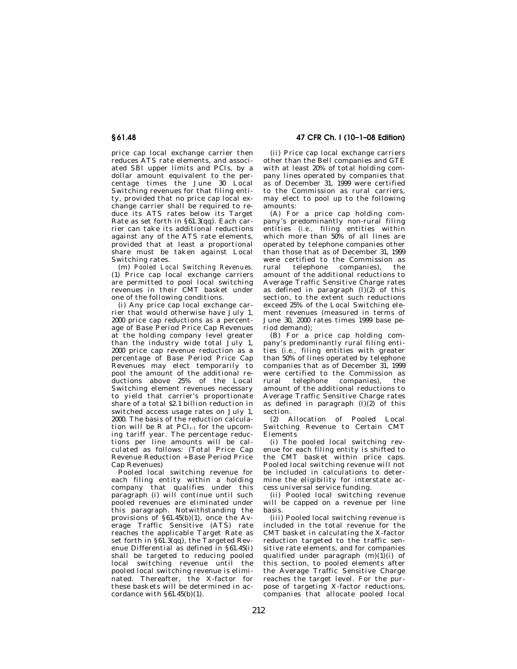price cap local exchange carrier then reduces ATS rate elements, and associated SBI upper limits and PCIs, by a dollar amount equivalent to the percentage times the June 30 Local Switching revenues for that filing entity, provided that no price cap local exchange carrier shall be required to reduce its ATS rates below its Target Rate as set forth in §61.3(qq). Each carrier can take its additional reductions against any of the ATS rate elements, provided that at least a proportional share must be taken against Local Switching rates.

(m) *Pooled Local Switching Revenues.*  (1) Price cap local exchange carriers are permitted to pool local switching revenues in their CMT basket under one of the following conditions.

(i) Any price cap local exchange carrier that would otherwise have July 1, 2000 price cap reductions as a percentage of Base Period Price Cap Revenues at the holding company level greater than the industry wide total July 1, 2000 price cap revenue reduction as a percentage of Base Period Price Cap .<br>Revenues may elect temporarily to pool the amount of the additional reductions above 25% of the Local Switching element revenues necessary to yield that carrier's proportionate share of a total \$2.1 billion reduction in switched access usage rates on July 1, 2000. The basis of the reduction calculation will be  $R$  at  $PCI_{t-1}$  for the upcoming tariff year. The percentage reductions per line amounts will be calculated as follows: (Total Price Cap Revenue Reduction ÷ Base Period Price Cap Revenues)

Pooled local switching revenue for each filing entity within a holding company that qualifies under this paragraph (i) will continue until such pooled revenues are eliminated under this paragraph. Notwithstanding the provisions of §61.45(b)(1), once the Average Traffic Sensitive (ATS) rate reaches the applicable Target Rate as set forth in §61.3(qq), the Targeted Revenue Differential as defined in §61.45(i) shall be targeted to reducing pooled local switching revenue until the pooled local switching revenue is eliminated. Thereafter, the X-factor for these baskets will be determined in accordance with §61.45(b)(1).

**§ 61.48 47 CFR Ch. I (10–1–08 Edition)** 

(ii) Price cap local exchange carriers other than the Bell companies and GTE with at least 20% of total holding company lines operated by companies that as of December 31, 1999 were certified to the Commission as rural carriers, may elect to pool up to the following amounts:

(A) For a price cap holding company's predominantly non-rural filing entities (*i.e.,* filing entities within which more than 50% of all lines are operated by telephone companies other than those that as of December 31, 1999 were certified to the Commission as rural telephone companies), the amount of the additional reductions to Average Traffic Sensitive Charge rates as defined in paragraph  $(l)(2)$  of this section, to the extent such reductions exceed 25% of the Local Switching element revenues (measured in terms of June 30, 2000 rates times 1999 base period demand);

(B) For a price cap holding company's predominantly rural filing entities (*i.e.,* filing entities with greater than 50% of lines operated by telephone companies that as of December 31, 1999 were certified to the Commission as rural telephone companies), the amount of the additional reductions to Average Traffic Sensitive Charge rates as defined in paragraph  $(l)(2)$  of this section.

(2) Allocation of Pooled Local Switching Revenue to Certain CMT Elements

(i) The pooled local switching revenue for each filing entity is shifted to the CMT basket within price caps. Pooled local switching revenue will not be included in calculations to determine the eligibility for interstate access universal service funding.

(ii) Pooled local switching revenue will be capped on a revenue per line basis.

(iii) Pooled local switching revenue is included in the total revenue for the CMT basket in calculating the X-factor reduction targeted to the traffic sensitive rate elements, and for companies qualified under paragraph  $(m)(1)(i)$  of this section, to pooled elements after the Average Traffic Sensitive Charge reaches the target level. For the purpose of targeting X-factor reductions, companies that allocate pooled local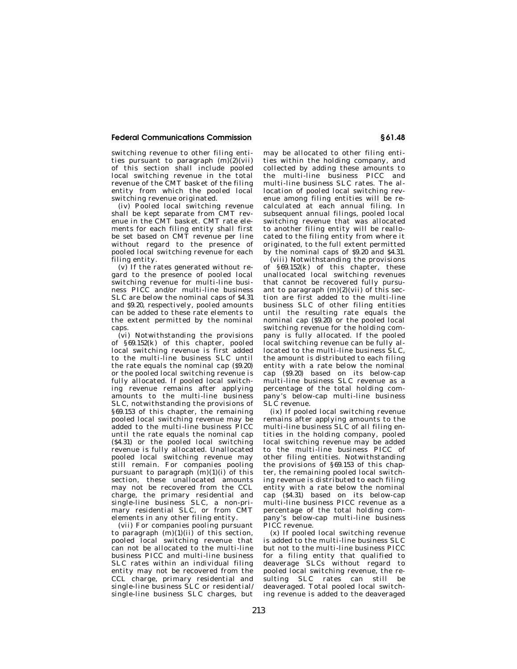switching revenue to other filing entities pursuant to paragraph  $(m)(2)(vi)$ of this section shall include pooled local switching revenue in the total revenue of the CMT basket of the filing entity from which the pooled local switching revenue originated.

(iv) Pooled local switching revenue shall be kept separate from CMT revenue in the CMT basket. CMT rate elements for each filing entity shall first be set based on CMT revenue per line without regard to the presence of pooled local switching revenue for each filing entity.

(v) If the rates generated without regard to the presence of pooled local switching revenue for multi-line business PICC and/or multi-line business SLC are below the nominal caps of \$4.31 and \$9.20, respectively, pooled amounts can be added to these rate elements to the extent permitted by the nominal caps.

(vi) Notwithstanding the provisions of §69.152(k) of this chapter, pooled local switching revenue is first added to the multi-line business SLC until the rate equals the nominal cap (\$9.20) or the pooled local switching revenue is fully allocated. If pooled local switching revenue remains after applying amounts to the multi-line business SLC, notwithstanding the provisions of §69.153 of this chapter, the remaining pooled local switching revenue may be added to the multi-line business PICC until the rate equals the nominal cap (\$4.31) or the pooled local switching revenue is fully allocated. Unallocated pooled local switching revenue may still remain. For companies pooling pursuant to paragraph  $(m)(1)(i)$  of this section, these unallocated amounts may not be recovered from the CCL charge, the primary residential and single-line business SLC, a non-primary residential SLC, or from CMT elements in any other filing entity.

(vii) For companies pooling pursuant to paragraph  $(m)(1)(ii)$  of this section, pooled local switching revenue that can not be allocated to the multi-line business PICC and multi-line business SLC rates within an individual filing entity may not be recovered from the CCL charge, primary residential and single-line business SLC or residential/ single-line business SLC charges, but may be allocated to other filing entities within the holding company, and collected by adding these amounts to the multi-line business PICC and multi-line business SLC rates. The allocation of pooled local switching revenue among filing entities will be recalculated at each annual filing. In subsequent annual filings, pooled local switching revenue that was allocated to another filing entity will be reallocated to the filing entity from where it originated, to the full extent permitted by the nominal caps of \$9.20 and \$4.31.

(viii) Notwithstanding the provisions of §69.152(k) of this chapter, these unallocated local switching revenues that cannot be recovered fully pursuant to paragraph  $(m)(2)(vii)$  of this section are first added to the multi-line business SLC of other filing entities until the resulting rate equals the nominal cap (\$9.20) or the pooled local switching revenue for the holding company is fully allocated. If the pooled local switching revenue can be fully allocated to the multi-line business SLC, the amount is distributed to each filing entity with a rate below the nominal cap (\$9.20) based on its below-cap multi-line business SLC revenue as a percentage of the total holding company's below-cap multi-line business SLC revenue.

(ix) If pooled local switching revenue remains after applying amounts to the multi-line business SLC of all filing entities in the holding company, pooled local switching revenue may be added to the multi-line business PICC of other filing entities. Notwithstanding the provisions of §69.153 of this chapter, the remaining pooled local switching revenue is distributed to each filing entity with a rate below the nominal cap (\$4.31) based on its below-cap multi-line business PICC revenue as a percentage of the total holding company's below-cap multi-line business PICC revenue.

(x) If pooled local switching revenue is added to the multi-line business SLC but not to the multi-line business PICC for a filing entity that qualified to deaverage SLCs without regard to pooled local switching revenue, the resulting SLC rates can still be deaveraged. Total pooled local switching revenue is added to the deaveraged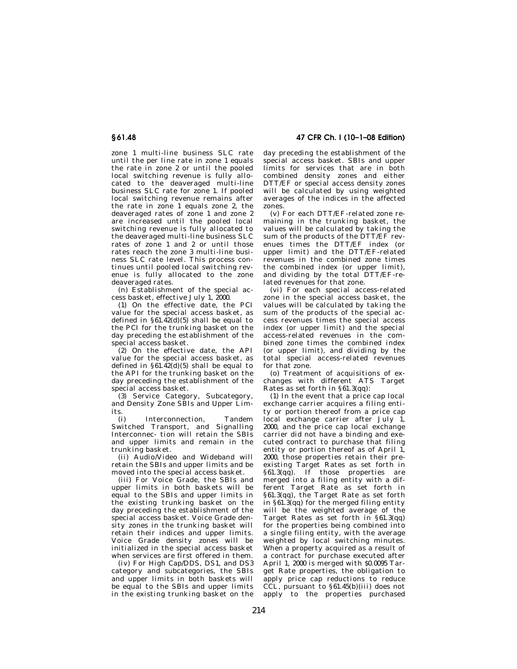zone 1 multi-line business SLC rate until the per line rate in zone 1 equals the rate in zone 2 or until the pooled local switching revenue is fully allocated to the deaveraged multi-line business SLC rate for zone 1. If pooled local switching revenue remains after the rate in zone 1 equals zone 2, the deaveraged rates of zone 1 and zone 2 are increased until the pooled local switching revenue is fully allocated to the deaveraged multi-line business SLC rates of zone 1 and 2 or until those rates reach the zone 3 multi-line business SLC rate level. This process continues until pooled local switching revenue is fully allocated to the zone deaveraged rates.

(n) Establishment of the special ac- $\cos$  basket, effective July 1, 2000.

(1) On the effective date, the PCI value for the special access basket, as defined in  $\S 61.\overline{42}$ (d)(5) shall be equal to the PCI for the trunking basket on the day preceding the establishment of the special access basket.

(2) On the effective date, the API value for the special access basket, as defined in  $\S 61.\overline{42}$ (d)(5) shall be equal to the API for the trunking basket on the day preceding the establishment of the special access basket.

(3) Service Category, Subcategory, and Density Zone SBIs and Upper Limits.

(i) Interconnection, Tandem Switched Transport, and Signalling Interconnec- tion will retain the SBIs and upper limits and remain in the trunking basket.

(ii) Audio/Video and Wideband will retain the SBIs and upper limits and be moved into the special access basket.

(iii) For Voice Grade, the SBIs and upper limits in both baskets will be equal to the SBIs and upper limits in the existing trunking basket on the day preceding the establishment of the special access basket. Voice Grade density zones in the trunking basket will retain their indices and upper limits. Voice Grade density zones will be initialized in the special access basket when services are first offered in them.

(iv) For High Cap/DDS, DS1, and DS3 category and subcategories, the SBIs and upper limits in both baskets will be equal to the SBIs and upper limits in the existing trunking basket on the

**§ 61.48 47 CFR Ch. I (10–1–08 Edition)** 

day preceding the establishment of the special access basket. SBIs and upper limits for services that are in both combined density zones and either DTT/EF or special access density zones will be calculated by using weighted averages of the indices in the affected zones.

(v) For each DTT/EF-related zone remaining in the trunking basket, the values will be calculated by taking the sum of the products of the DTT/EF revenues times the DTT/EF index (or upper limit) and the DTT/EF-related revenues in the combined zone times the combined index (or upper limit), and dividing by the total DTT/EF-related revenues for that zone.

(vi) For each special access-related zone in the special access basket, the values will be calculated by taking the sum of the products of the special access revenues times the special access index (or upper limit) and the special access-related revenues in the combined zone times the combined index (or upper limit), and dividing by the total special access-related revenues for that zone.

(o) Treatment of acquisitions of exchanges with different ATS Target Rates as set forth in §61.3(qq):

(1) In the event that a price cap local exchange carrier acquires a filing entity or portion thereof from a price cap local exchange carrier after July 1, 2000, and the price cap local exchange carrier did not have a binding and executed contract to purchase that filing entity or portion thereof as of April 1, 2000, those properties retain their preexisting Target Rates as set forth in  $§61.3(q\ddot{q})$ . If those properties are merged into a filing entity with a different Target Rate as set forth in §61.3(qq), the Target Rate as set forth in §61.3(qq) for the merged filing entity will be the weighted average of the Target Rates as set forth in §61.3(qq) for the properties being combined into a single filing entity, with the average weighted by local switching minutes. When a property acquired as a result of a contract for purchase executed after April 1, 2000 is merged with \$0.0095 Target Rate properties, the obligation to apply price cap reductions to reduce CCL, pursuant to  $\S 61.45(b)(iii)$  does not apply to the properties purchased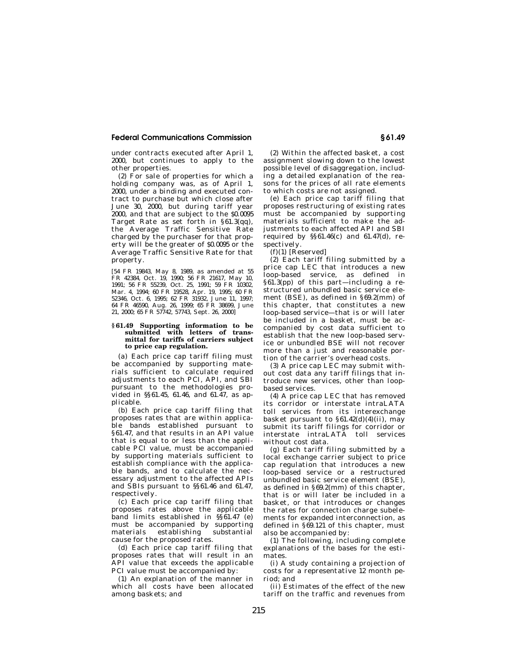under contracts executed after April 1, 2000, but continues to apply to the other properties.

(2) For sale of properties for which a holding company was, as of April 1, 2000, under a binding and executed contract to purchase but which close after June 30, 2000, but during tariff year 2000, and that are subject to the \$0.0095 Target Rate as set forth in §61.3(qq), the Average Traffic Sensitive Rate charged by the purchaser for that property will be the greater of \$0.0095 or the Average Traffic Sensitive Rate for that property.

[54 FR 19843, May 8, 1989, as amended at 55 FR 42384, Oct. 19, 1990; 56 FR 21617, May 10, 1991; 56 FR 55239, Oct. 25, 1991; 59 FR 10302, Mar. 4, 1994; 60 FR 19528, Apr. 19, 1995; 60 FR 52346, Oct. 6, 1995; 62 FR 31932, June 11, 1997; 64 FR 46590, Aug. 26, 1999; 65 FR 38699, June 21, 2000; 65 FR 57742, 57743, Sept. 26, 2000]

#### **§ 61.49 Supporting information to be submitted with letters of transmittal for tariffs of carriers subject to price cap regulation.**

(a) Each price cap tariff filing must be accompanied by supporting materials sufficient to calculate required adjustments to each PCI, API, and SBI pursuant to the methodologies provided in §§61.45, 61.46, and 61.47, as applicable.

(b) Each price cap tariff filing that proposes rates that are within applicable bands established pursuant to §61.47, and that results in an API value that is equal to or less than the applicable PCI value, must be accompanied by supporting materials sufficient to establish compliance with the applicable bands, and to calculate the necessary adjustment to the affected APIs and SBIs pursuant to §§61.46 and 61.47, respectively.

(c) Each price cap tariff filing that proposes rates above the applicable band limits established in §§61.47 (e) must be accompanied by supporting materials establishing substantial cause for the proposed rates.

(d) Each price cap tariff filing that proposes rates that will result in an API value that exceeds the applicable PCI value must be accompanied by:

(1) An explanation of the manner in which all costs have been allocated among baskets; and

(2) Within the affected basket, a cost assignment slowing down to the lowest possible level of disaggregation, including a detailed explanation of the reasons for the prices of all rate elements to which costs are not assigned.

(e) Each price cap tariff filing that proposes restructuring of existing rates must be accompanied by supporting materials sufficient to make the adjustments to each affected API and SBI required by  $\S$ §61.46(c) and 61.47(d), respectively.

 $(f)(1)$  [Reserved]

(2) Each tariff filing submitted by a price cap LEC that introduces a new loop-based service, as defined in §61.3(pp) of this part—including a restructured unbundled basic service element (BSE), as defined in §69.2(mm) of this chapter, that constitutes a new loop-based service—that is or will later be included in a basket, must be accompanied by cost data sufficient to establish that the new loop-based service or unbundled BSE will not recover more than a just and reasonable portion of the carrier's overhead costs.

(3) A price cap LEC may submit without cost data any tariff filings that introduce new services, other than loopbased services.

(4) A price cap LEC that has removed its corridor or interstate intraLATA toll services from its interexchange basket pursuant to  $$61.42(d)(4)(ii)$ , may submit its tariff filings for corridor or interstate intraLATA toll services without cost data.

(g) Each tariff filing submitted by a local exchange carrier subject to price cap regulation that introduces a new loop-based service or a restructured unbundled basic service element (BSE), as defined in §69.2(mm) of this chapter, that is or will later be included in a basket, or that introduces or changes the rates for connection charge subelements for expanded interconnection, as defined in §69.121 of this chapter, must also be accompanied by:

(1) The following, including complete explanations of the bases for the estimates.

(i) A study containing a projection of costs for a representative 12 month period; and

(ii) Estimates of the effect of the new tariff on the traffic and revenues from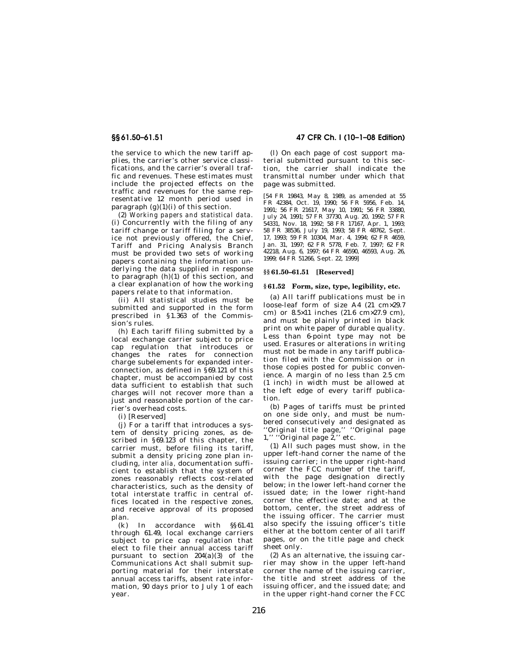the service to which the new tariff applies, the carrier's other service classifications, and the carrier's overall traffic and revenues. These estimates must include the projected effects on the traffic and revenues for the same representative 12 month period used in paragraph  $(g)(1)(i)$  of this section.

(2) *Working papers and statistical data.*  (i) Concurrently with the filing of any tariff change or tariff filing for a service not previously offered, the Chief, Tariff and Pricing Analysis Branch must be provided two sets of working papers containing the information underlying the data supplied in response to paragraph  $(h)(1)$  of this section, and a clear explanation of how the working papers relate to that information.

(ii) All statistical studies must be submitted and supported in the form prescribed in §1.363 of the Commission's rules.

(h) Each tariff filing submitted by a local exchange carrier subject to price cap regulation that introduces or changes the rates for connection charge subelements for expanded interconnection, as defined in §69.121 of this chapter, must be accompanied by cost data sufficient to establish that such charges will not recover more than a just and reasonable portion of the carrier's overhead costs.

(i) [Reserved]

(j) For a tariff that introduces a system of density pricing zones, as described in §69.123 of this chapter, the carrier must, before filing its tariff, submit a density pricing zone plan including, *inter alia,* documentation sufficient to establish that the system of zones reasonably reflects cost-related characteristics, such as the density of total interstate traffic in central offices located in the respective zones, and receive approval of its proposed plan.

(k) In accordance with §§61.41 through 61.49, local exchange carriers subject to price cap regulation that elect to file their annual access tariff pursuant to section 204(a)(3) of the Communications Act shall submit supporting material for their interstate annual access tariffs, absent rate information, 90 days prior to July 1 of each year.

## **§§ 61.50–61.51 47 CFR Ch. I (10–1–08 Edition)**

(l) On each page of cost support material submitted pursuant to this section, the carrier shall indicate the transmittal number under which that page was submitted.

[54 FR 19843, May 8, 1989, as amended at 55 FR 42384, Oct. 19, 1990; 56 FR 5956, Feb. 14, 1991; 56 FR 21617, May 10, 1991; 56 FR 33880, July 24, 1991; 57 FR 37730, Aug. 20, 1992; 57 FR 54331, Nov. 18, 1992; 58 FR 17167, Apr. 1, 1993; 58 FR 38536, July 19, 1993; 58 FR 48762, Sept. 17, 1993; 59 FR 10304, Mar. 4, 1994; 62 FR 4659, Jan. 31, 1997; 62 FR 5778, Feb. 7, 1997; 62 FR 42218, Aug. 6, 1997; 64 FR 46590, 46593, Aug. 26, 1999; 64 FR 51266, Sept. 22, 1999]

## **§§ 61.50–61.51 [Reserved]**

## **§ 61.52 Form, size, type, legibility, etc.**

(a) All tariff publications must be in loose-leaf form of size A4 (21 cm×29.7 cm) or 8.5×11 inches (21.6 cm×27.9 cm), and must be plainly printed in black print on white paper of durable quality. Less than 6-point type may not be used. Erasures or alterations in writing must not be made in any tariff publication filed with the Commission or in those copies posted for public convenience. A margin of no less than 2.5 cm (1 inch) in width must be allowed at the left edge of every tariff publication.

(b) Pages of tariffs must be printed on one side only, and must be numbered consecutively and designated as ''Original title page,'' ''Original page 1,'' ''Original page 2,'' etc.

(1) All such pages must show, in the upper left-hand corner the name of the issuing carrier; in the upper right-hand corner the FCC number of the tariff, with the page designation directly below; in the lower left-hand corner the issued date; in the lower right-hand corner the effective date; and at the bottom, center, the street address of the issuing officer. The carrier must also specify the issuing officer's title either at the bottom center of all tariff pages, or on the title page and check sheet only.

(2) As an alternative, the issuing carrier may show in the upper left-hand corner the name of the issuing carrier, the title and street address of the issuing officer, and the issued date; and in the upper right-hand corner the FCC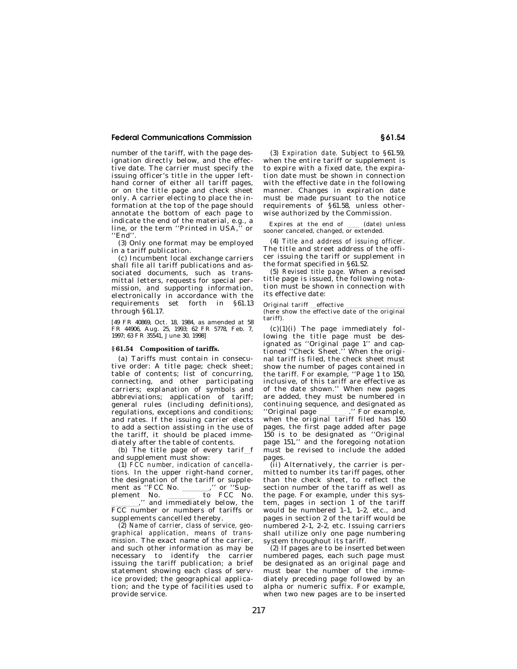number of the tariff, with the page designation directly below, and the effective date. The carrier must specify the issuing officer's title in the upper lefthand corner of either all tariff pages, or on the title page and check sheet only. A carrier electing to place the information at the top of the page should annotate the bottom of each page to indicate the end of the material, e.g., a line, or the term ''Printed in USA,'' or ''End''.

(3) Only one format may be employed in a tariff publication.

(c) Incumbent local exchange carriers shall file all tariff publications and associated documents, such as transmittal letters, requests for special permission, and supporting information, electronically in accordance with the requirements set forth in §61.13 through §61.17.

[49 FR 40869, Oct. 18, 1984, as amended at 58 FR 44906, Aug. 25, 1993; 62 FR 5778, Feb. 7, 1997; 63 FR 35541, June 30, 1998]

#### **§ 61.54 Composition of tariffs.**

(a) Tariffs must contain in consecutive order: A title page; check sheet; table of contents; list of concurring, connecting, and other participating carriers; explanation of symbols and abbreviations; application of tariff; general rules (including definitions), regulations, exceptions and conditions; and rates. If the issuing carrier elects to add a section assisting in the use of the tariff, it should be placed immediately after the table of contents.

(b) The title page of every tarif f and supplement must show:

(1) *FCC number, indication of cancellations.* In the upper right-hand corner, the designation of the tariff or supple-<br>ment as "FCC No. \_\_\_\_\_\_\_," or "Supment as ''FCC No. llll,'' or ''Supplement No. to FCC No.<br>component to FCC No.<br>and immediately below the  $\frac{1}{\text{FCC}}$ ," and immediately below, the FCC number or numbers of tariffs or supplements cancelled thereby.

(2) *Name of carrier, class of service, geographical application, means of transmission.* The exact name of the carrier, and such other information as may be necessary to identify the carrier issuing the tariff publication; a brief statement showing each class of service provided; the geographical application; and the type of facilities used to provide service.

(3) *Expiration date.* Subject to §61.59, when the entire tariff or supplement is to expire with a fixed date, the expiration date must be shown in connection with the effective date in the following manner. Changes in expiration date must be made pursuant to the notice requirements of §61.58, unless otherwise authorized by the Commission.

Expires at the end of  $\quad$  (date) unless sooner canceled, changed, or extended.

(4) *Title and address of issuing officer.*  The title and street address of the officer issuing the tariff or supplement in the format specified in §61.52.

(5) *Revised title page.* When a revised title page is issued, the following notation must be shown in connection with its effective date:

Original tariff effective<br>(here show the effective date of the original tariff).

 $(c)(1)(i)$  The page immediately following the title page must be designated as ''Original page 1'' and captioned ''Check Sheet.'' When the original tariff is filed, the check sheet must show the number of pages contained in the tariff. For example, ''Page 1 to 150, inclusive, of this tariff are effective as of the date shown.'' When new pages are added, they must be numbered in continuing sequence, and designated as<br>"Original page \_\_\_\_\_\_\_\_." For example, "Original page \_\_\_\_\_\_\_\_." For example,<br>when the original tariff filed has 150 pages, the first page added after page 150 is to be designated as ''Original page 151,'' and the foregoing notation must be revised to include the added pages.

(ii) Alternatively, the carrier is permitted to number its tariff pages, other than the check sheet, to reflect the section number of the tariff as well as the page. For example, under this system, pages in section 1 of the tariff would be numbered 1–1, 1–2, etc., and pages in section 2 of the tariff would be numbered 2–1, 2–2, etc. Issuing carriers shall utilize only one page numbering system throughout its tariff.

(2) If pages are to be inserted between numbered pages, each such page must be designated as an original page and must bear the number of the immediately preceding page followed by an alpha or numeric suffix. For example, when two new pages are to be inserted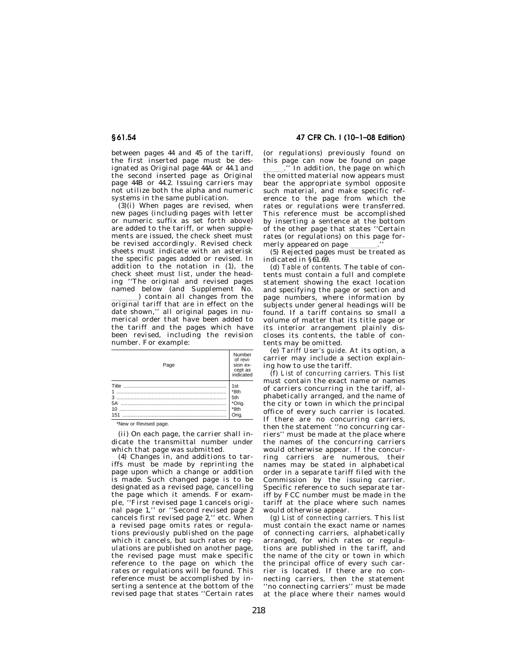between pages 44 and 45 of the tariff, the first inserted page must be designated as Original page 44A or 44.1 and the second inserted page as Original page 44B or 44.2. Issuing carriers may not utilize both the alpha and numeric systems in the same publication.

 $(3)(i)$  When pages are revised, when new pages (including pages with letter or numeric suffix as set forth above) are added to the tariff, or when supplements are issued, the check sheet must be revised accordingly. Revised check sheets must indicate with an asterisk the specific pages added or revised. In addition to the notation in (1), the check sheet must list, under the heading ''The original and revised pages named below (and Supplement No.<br>contain all changes from the

(a) contain all changes from the original tariff that are in effect on the date shown,'' all original pages in numerical order that have been added to the tariff and the pages which have been revised, including the revision number. For example:

| Page    | Number<br>of revi-<br>sion ex-<br>cept as<br>indicated |
|---------|--------------------------------------------------------|
|         | 1st                                                    |
| $1$     | *8th                                                   |
| <br>$3$ | 5th                                                    |
| 5A      | *Orig.                                                 |
| $10$    | *8th                                                   |
| 151     | Orig.                                                  |

\*New or Revised page.

(ii) On each page, the carrier shall indicate the transmittal number under which that page was submitted.

(4) Changes in, and additions to tariffs must be made by reprinting the page upon which a change or addition is made. Such changed page is to be designated as a revised page, cancelling the page which it amends. For example, ''First revised page 1 cancels original page 1,'' or ''Second revised page 2 cancels first revised page 2,'' etc. When a revised page omits rates or regulations previously published on the page which it cancels, but such rates or regulations are published on another page, the revised page must make specific reference to the page on which the rates or regulations will be found. This reference must be accomplished by inserting a sentence at the bottom of the revised page that states ''Certain rates

**§ 61.54 47 CFR Ch. I (10–1–08 Edition)** 

(or regulations) previously found on this page can now be found on page

In addition, the page on which the omitted material now appears must bear the appropriate symbol opposite such material, and make specific reference to the page from which the rates or regulations were transferred. This reference must be accomplished by inserting a sentence at the bottom of the other page that states ''Certain rates (or regulations) on this page for-

merly appeared on page \_\_\_\_\_\_.''<br>(5) Rejected pages must be treated as indicated in §61.69.

(d) *Table of contents.* The table of contents must contain a full and complete statement showing the exact location and specifying the page or section and page numbers, where information by subjects under general headings will be found. If a tariff contains so small a volume of matter that its title page or its interior arrangement plainly discloses its contents, the table of contents may be omitted.

(e) *Tariff User's guide.* At its option, a carrier may include a section explaining how to use the tariff.

(f) *List of concurring carriers.* This list must contain the exact name or names of carriers concurring in the tariff, alphabetically arranged, and the name of the city or town in which the principal office of every such carrier is located. If there are no concurring carriers, then the statement ''no concurring carriers'' must be made at the place where the names of the concurring carriers would otherwise appear. If the concurring carriers are numerous, their names may be stated in alphabetical order in a separate tariff filed with the Commission by the issuing carrier. Specific reference to such separate tariff by FCC number must be made in the tariff at the place where such names would otherwise appear.

(g) *List of connecting carriers.* This list must contain the exact name or names of connecting carriers, alphabetically arranged, for which rates or regulations are published in the tariff, and the name of the city or town in which the principal office of every such carrier is located. If there are no connecting carriers, then the statement ''no connecting carriers'' must be made at the place where their names would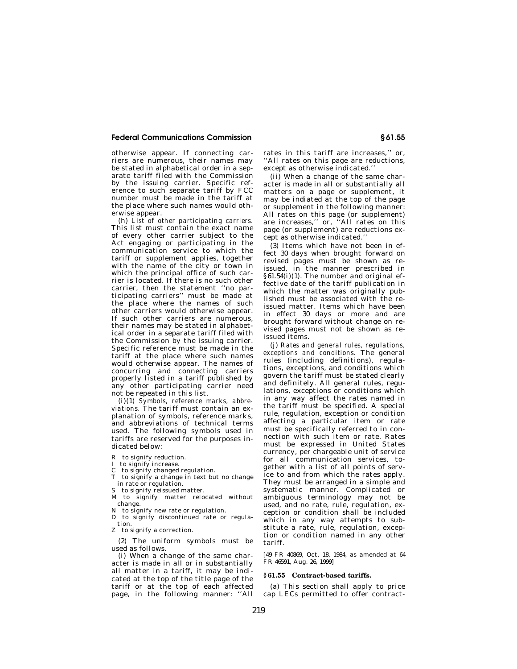otherwise appear. If connecting carriers are numerous, their names may be stated in alphabetical order in a separate tariff filed with the Commission by the issuing carrier. Specific reference to such separate tariff by FCC number must be made in the tariff at the place where such names would otherwise appear.

(h) *List of other participating carriers.*  This list must contain the exact name of every other carrier subject to the Act engaging or participating in the communication service to which the tariff or supplement applies, together with the name of the city or town in which the principal office of such carrier is located. If there is no such other carrier, then the statement ''no participating carriers'' must be made at the place where the names of such other carriers would otherwise appear. If such other carriers are numerous, their names may be stated in alphabetical order in a separate tariff filed with the Commission by the issuing carrier. Specific reference must be made in the tariff at the place where such names would otherwise appear. The names of concurring and connecting carriers properly listed in a tariff published by any other participating carrier need not be repeated in this list.

(i)(1) *Symbols, reference marks, abbreviations.* The tariff must contain an explanation of symbols, reference marks, and abbreviations of technical terms used. The following symbols used in tariffs are reserved for the purposes indicated below:

- R to signify reduction.
- I to signify increase.
- C to signify changed regulation.
- T to signify a change in text but no change in rate or regulation.
- S to signify reissued matter.
- M to signify matter relocated without change.
- N to signify new rate or regulation.
- D to signify discontinued rate or regulation.
- Z to signify a correction.

(2) The uniform symbols must be used as follows.

(i) When a change of the same character is made in all or in substantially all matter in a tariff, it may be indicated at the top of the title page of the tariff or at the top of each affected page, in the following manner: ''All rates in this tariff are increases,'' or, ''All rates on this page are reductions, except as otherwise indicated.''

(ii) When a change of the same character is made in all or substantially all matters on a page or supplement, it may be indiated at the top of the page or supplement in the following manner: All rates on this page (or supplement) are increases,'' or, ''All rates on this page (or supplement) are reductions except as otherwise indicated.''

(3) Items which have not been in effect 30 days when brought forward on revised pages must be shown as reissued, in the manner prescribed in §61.54(i)(1). The number and original effective date of the tariff publication in which the matter was originally published must be associated with the reissued matter. Items which have been in effect 30 days or more and are brought forward without change on revised pages must not be shown as reissued items.

(j) *Rates and general rules, regulations, exceptions and conditions.* The general rules (including definitions), regulations, exceptions, and conditions which govern the tariff must be stated clearly and definitely. All general rules, regulations, exceptions or conditions which in any way affect the rates named in the tariff must be specified. A special rule, regulation, exception or condition affecting a particular item or rate must be specifically referred to in connection with such item or rate. Rates must be expressed in United States currency, per chargeable unit of service for all communication services, together with a list of all points of service to and from which the rates apply. They must be arranged in a simple and systematic manner. Complicated or ambiguous terminology may not be used, and no rate, rule, regulation, exception or condition shall be included which in any way attempts to substitute a rate, rule, regulation, exception or condition named in any other tariff.

[49 FR 40869, Oct. 18, 1984, as amended at 64 FR 46591, Aug. 26, 1999]

#### **§ 61.55 Contract-based tariffs.**

(a) This section shall apply to price cap LECs permitted to offer contract-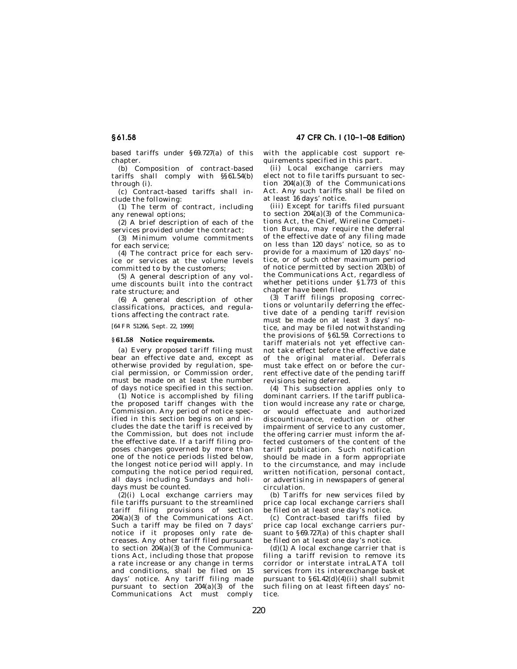based tariffs under §69.727(a) of this chapter.

(b) Composition of contract-based tariffs shall comply with §§61.54(b) through (i).

(c) Contract-based tariffs shall include the following:

(1) The term of contract, including any renewal options;

(2) A brief description of each of the services provided under the contract;

(3) Minimum volume commitments for each service;

(4) The contract price for each service or services at the volume levels committed to by the customers;

(5) A general description of any volume discounts built into the contract rate structure; and

(6) A general description of other classifications, practices, and regulations affecting the contract rate.

[64 FR 51266, Sept. 22, 1999]

## **§ 61.58 Notice requirements.**

(a) Every proposed tariff filing must bear an effective date and, except as otherwise provided by regulation, special permission, or Commission order, must be made on at least the number of days notice specified in this section.

(1) Notice is accomplished by filing the proposed tariff changes with the Commission. Any period of notice specified in this section begins on and includes the date the tariff is received by the Commission, but does not include the effective date. If a tariff filing proposes changes governed by more than one of the notice periods listed below, the longest notice period will apply. In computing the notice period required, all days including Sundays and holidays must be counted.

(2)(i) Local exchange carriers may file tariffs pursuant to the streamlined tariff filing provisions of section 204(a)(3) of the Communications Act. Such a tariff may be filed on 7 days' notice if it proposes only rate decreases. Any other tariff filed pursuant to section  $204(a)(3)$  of the Communications Act, including those that propose a rate increase or any change in terms and conditions, shall be filed on 15 days' notice. Any tariff filing made pursuant to section  $204(a)(3)$  of the Communications Act must comply

with the applicable cost support requirements specified in this part.

(ii) Local exchange carriers may elect not to file tariffs pursuant to section 204(a)(3) of the Communications Act. Any such tariffs shall be filed on at least 16 days' notice.

(iii) Except for tariffs filed pursuant to section  $204(a)(3)$  of the Communications Act, the Chief, Wireline Competition Bureau, may require the deferral of the effective date of any filing made on less than 120 days' notice, so as to provide for a maximum of 120 days' notice, or of such other maximum period of notice permitted by section 203(b) of the Communications Act, regardless of whether petitions under §1.773 of this chapter have been filed.

(3) Tariff filings proposing corrections or voluntarily deferring the effective date of a pending tariff revision must be made on at least 3 days' notice, and may be filed notwithstanding the provisions of §61.59. Corrections to tariff materials not yet effective cannot take effect before the effective date of the original material. Deferrals must take effect on or before the current effective date of the pending tariff revisions being deferred.

(4) This subsection applies only to dominant carriers. If the tariff publication would increase any rate or charge, or would effectuate and authorized discountinuance, reduction or other impairment of service to any customer, the offering carrier must inform the affected customers of the content of the tariff publication. Such notification should be made in a form appropriate to the circumstance, and may include written notification, personal contact, or advertising in newspapers of general circulation.

(b) Tariffs for new services filed by price cap local exchange carriers shall be filed on at least one day's notice.

(c) Contract-based tariffs filed by price cap local exchange carriers pursuant to §69.727(a) of this chapter shall be filed on at least one day's notice.

 $(d)(1)$  A local exchange carrier that is filing a tariff revision to remove its corridor or interstate intraLATA toll services from its interexchange basket pursuant to  $\S 61.42(d)(4)(ii)$  shall submit such filing on at least fifteen days' notice.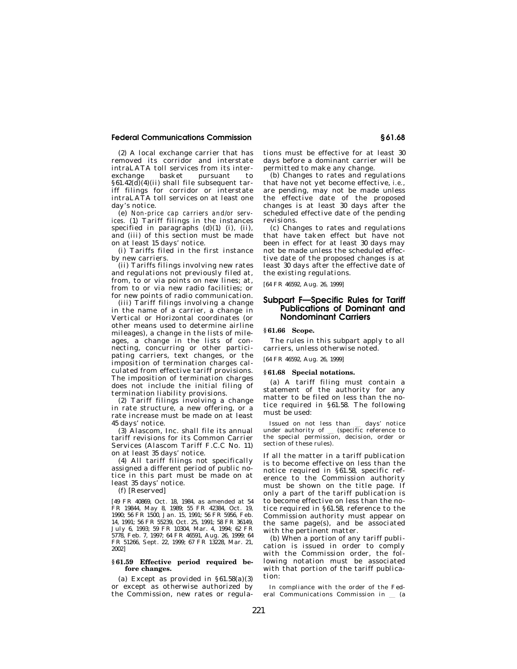(2) A local exchange carrier that has removed its corridor and interstate intraLATA toll services from its interexchange basket pursuant to  $§61.42$ (d)(4)(ii) shall file subsequent tariff filings for corridor or interstate intraLATA toll services on at least one day's notice.

(e) *Non-price cap carriers and/or services.* (1) Tariff filings in the instances specified in paragraphs (d)(1) (i), (ii), and (iii) of this section must be made on at least 15 days' notice.

(i) Tariffs filed in the first instance by new carriers.

(ii) Tariffs filings involving new rates and regulations not previously filed at, from, to or via points on new lines; at, from to or via new radio facilities; or for new points of radio communication.

(iii) Tariff filings involving a change in the name of a carrier, a change in Vertical or Horizontal coordinates (or other means used to determine airline mileages), a change in the lists of mileages, a change in the lists of connecting, concurring or other participating carriers, text changes, or the imposition of termination charges calculated from effective tariff provisions. The imposition of termination charges does not include the initial filing of termination liability provisions.

(2) Tariff filings involving a change in rate structure, a new offering, or a rate increase must be made on at least 45 days' notice.

(3) Alascom, Inc. shall file its annual tariff revisions for its Common Carrier Services (Alascom Tariff F.C.C No. 11) on at least 35 days' notice.

(4) All tariff filings not specifically assigned a different period of public notice in this part must be made on at least 35 days' notice.

(f) [Reserved]

[49 FR 40869, Oct. 18, 1984, as amended at 54 FR 19844, May 8, 1989; 55 FR 42384, Oct. 19, 1990; 56 FR 1500, Jan. 15, 1991; 56 FR 5956, Feb. 14, 1991; 56 FR 55239, Oct. 25, 1991; 58 FR 36149, July 6, 1993; 59 FR 10304, Mar. 4, 1994; 62 FR 5778, Feb. 7, 1997; 64 FR 46591, Aug. 26, 1999; 64 FR 51266, Sept. 22, 1999; 67 FR 13228, Mar. 21, 2002]

#### **§ 61.59 Effective period required before changes.**

(a) Except as provided in  $\S 61.58(a)(3)$ or except as otherwise authorized by the Commission, new rates or regula-

tions must be effective for at least 30 days before a dominant carrier will be permitted to make any change.

(b) Changes to rates and regulations that have not yet become effective, *i.e.*, are pending, may not be made unless the effective date of the proposed changes is at least 30 days after the scheduled effective date of the pending revisions.

(c) Changes to rates and regulations that have taken effect but have not been in effect for at least 30 days may not be made unless the scheduled effective date of the proposed changes is at least 30 days after the effective date of the existing regulations.

[64 FR 46592, Aug. 26, 1999]

## **Subpart F—Specific Rules for Tariff Publications of Dominant and Nondominant Carriers**

### **§ 61.66 Scope.**

The rules in this subpart apply to all carriers, unless otherwise noted.

[64 FR 46592, Aug. 26, 1999]

#### **§ 61.68 Special notations.**

(a) A tariff filing must contain a statement of the authority for any matter to be filed on less than the notice required in §61.58. The following must be used:

Issued on not less than days' notice<br>under authority of (specific reference to<br>the special permission decision order or the special permission, decision, order or section of these rules).

If all the matter in a tariff publication is to become effective on less than the notice required in §61.58, specific reference to the Commission authority must be shown on the title page. If only a part of the tariff publication is to become effective on less than the notice required in §61.58, reference to the Commission authority must appear on the same page(s), and be associated with the pertinent matter.

(b) When a portion of any tariff publication is issued in order to comply with the Commission order, the following notation must be associated with that portion of the tariff publication:

In compliance with the order of the Federal Communications Commission in  $\equiv$  (a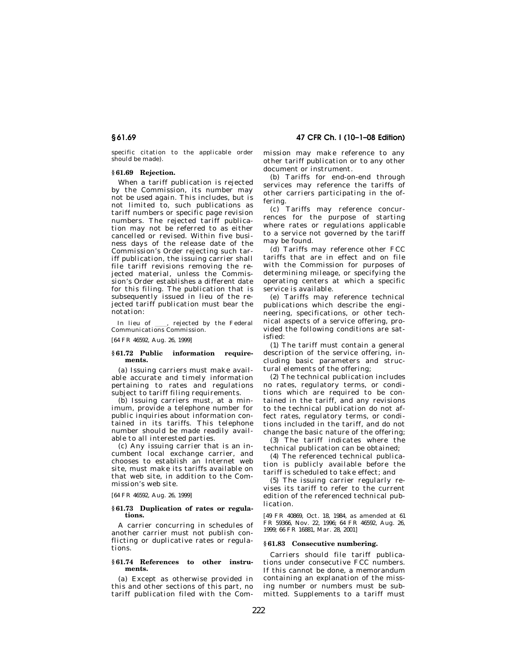specific citation to the applicable order should be made).

## **§ 61.69 Rejection.**

When a tariff publication is rejected by the Commission, its number may not be used again. This includes, but is not limited to, such publications as tariff numbers or specific page revision numbers. The rejected tariff publication may not be referred to as either cancelled or revised. Within five business days of the release date of the Commission's Order rejecting such tariff publication, the issuing carrier shall file tariff revisions removing the rejected material, unless the Commission's Order establishes a different date for this filing. The publication that is subsequently issued in lieu of the rejected tariff publication must bear the notation:

In lieu of ll, rejected by the Federal Communications Commission.

[64 FR 46592, Aug. 26, 1999]

### **§ 61.72 Public information requirements.**

(a) Issuing carriers must make available accurate and timely information pertaining to rates and regulations subject to tariff filing requirements.

(b) Issuing carriers must, at a minimum, provide a telephone number for public inquiries about information contained in its tariffs. This telephone number should be made readily available to all interested parties.

(c) Any issuing carrier that is an incumbent local exchange carrier, and chooses to establish an Internet web site, must make its tariffs available on that web site, in addition to the Commission's web site.

[64 FR 46592, Aug. 26, 1999]

#### **§ 61.73 Duplication of rates or regulations.**

A carrier concurring in schedules of another carrier must not publish conflicting or duplicative rates or regulations.

#### **§ 61.74 References to other instruments.**

(a) Except as otherwise provided in this and other sections of this part, no tariff publication filed with the Com-

**§ 61.69 47 CFR Ch. I (10–1–08 Edition)** 

mission may make reference to any other tariff publication or to any other document or instrument.

(b) Tariffs for end-on-end through services may reference the tariffs of other carriers participating in the offering.

(c) Tariffs may reference concurrences for the purpose of starting where rates or regulations applicable to a service not governed by the tariff may be found.

(d) Tariffs may reference other FCC tariffs that are in effect and on file with the Commission for purposes of determining mileage, or specifying the operating centers at which a specific service is available.

(e) Tariffs may reference technical publications which describe the engineering, specifications, or other technical aspects of a service offering, provided the following conditions are satisfied:

(1) The tariff must contain a general description of the service offering, including basic parameters and structural elements of the offering;

(2) The technical publication includes no rates, regulatory terms, or conditions which are required to be contained in the tariff, and any revisions to the technical publication do not affect rates, regulatory terms, or conditions included in the tariff, and do not change the basic nature of the offering;

(3) The tariff indicates where the technical publication can be obtained;

(4) The referenced technical publication is publicly available before the tariff is scheduled to take effect; and

(5) The issuing carrier regularly revises its tariff to refer to the current edition of the referenced technical publication.

[49 FR 40869, Oct. 18, 1984, as amended at 61 FR 59366, Nov. 22, 1996; 64 FR 46592, Aug. 26, 1999; 66 FR 16881, Mar. 28, 2001]

### **§ 61.83 Consecutive numbering.**

Carriers should file tariff publications under consecutive FCC numbers. If this cannot be done, a memorandum containing an explanation of the missing number or numbers must be submitted. Supplements to a tariff must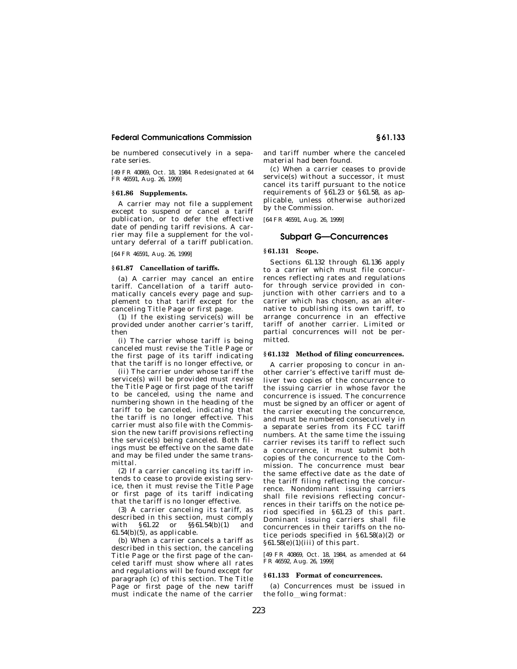be numbered consecutively in a separate series.

[49 FR 40869, Oct. 18, 1984. Redesignated at 64 FR 46591, Aug. 26, 1999]

## **§ 61.86 Supplements.**

A carrier may not file a supplement except to suspend or cancel a tariff publication, or to defer the effective date of pending tariff revisions. A carrier may file a supplement for the voluntary deferral of a tariff publication.

[64 FR 46591, Aug. 26, 1999]

#### **§ 61.87 Cancellation of tariffs.**

(a) A carrier may cancel an entire tariff. Cancellation of a tariff automatically cancels every page and supplement to that tariff except for the canceling Title Page or first page.

(1) If the existing service(s) will be provided under another carrier's tariff, then

(i) The carrier whose tariff is being canceled must revise the Title Page or the first page of its tariff indicating that the tariff is no longer effective, or

(ii) The carrier under whose tariff the service(s) will be provided must revise the Title Page or first page of the tariff to be canceled, using the name and numbering shown in the heading of the tariff to be canceled, indicating that the tariff is no longer effective. This carrier must also file with the Commission the new tariff provisions reflecting the service(s) being canceled. Both filings must be effective on the same date and may be filed under the same transmittal.

(2) If a carrier canceling its tariff intends to cease to provide existing service, then it must revise the Title Page or first page of its tariff indicating that the tariff is no longer effective.

(3) A carrier canceling its tariff, as described in this section, must comply with §61.22 or §§61.54(b)(1) and  $61.54(b)(5)$ , as applicable.

(b) When a carrier cancels a tariff as described in this section, the canceling Title Page or the first page of the canceled tariff must show where all rates and regulations will be found except for paragraph (c) of this section. The Title Page or first page of the new tariff must indicate the name of the carrier

and tariff number where the canceled material had been found.

(c) When a carrier ceases to provide service(s) without a successor, it must cancel its tariff pursuant to the notice requirements of §61.23 or §61.58, as applicable, unless otherwise authorized by the Commission.

[64 FR 46591, Aug. 26, 1999]

# **Subpart G—Concurrences**

## **§ 61.131 Scope.**

Sections 61.132 through 61.136 apply to a carrier which must file concurrences reflecting rates and regulations for through service provided in conjunction with other carriers and to a carrier which has chosen, as an alternative to publishing its own tariff, to arrange concurrence in an effective tariff of another carrier. Limited or partial concurrences will not be permitted.

## **§ 61.132 Method of filing concurrences.**

A carrier proposing to concur in another carrier's effective tariff must deliver two copies of the concurrence to the issuing carrier in whose favor the concurrence is issued. The concurrence must be signed by an officer or agent of the carrier executing the concurrence, and must be numbered consecutively in a separate series from its FCC tariff numbers. At the same time the issuing carrier revises its tariff to reflect such a concurrence, it must submit both copies of the concurrence to the Commission. The concurrence must bear the same effective date as the date of the tariff filing reflecting the concurrence. Nondominant issuing carriers shall file revisions reflecting concurrences in their tariffs on the notice period specified in §61.23 of this part. Dominant issuing carriers shall file concurrences in their tariffs on the notice periods specified in §61.58(a)(2) or §61.58(e)(1)(iii) of this part.

[49 FR 40869, Oct. 18, 1984, as amended at 64 FR 46592, Aug. 26, 1999]

#### **§ 61.133 Format of concurrences.**

(a) Concurrences must be issued in the follo\_wing format: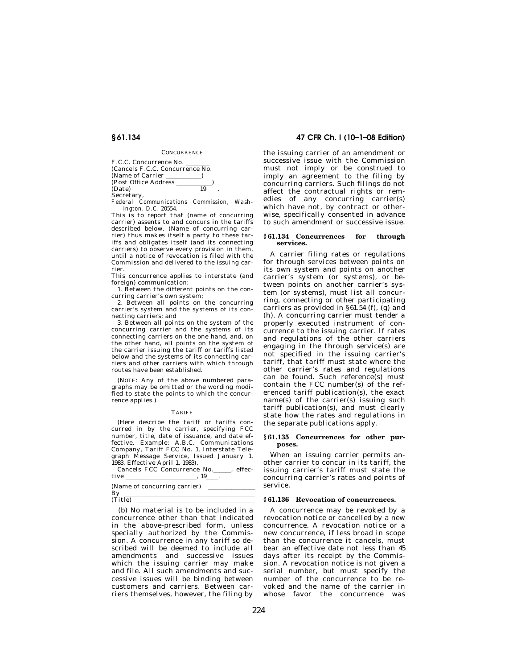**CONCURRENCE** 

F.C.C. Concurrence No.<br>(Cancels F.C.C. Concurrence No. \_\_\_<br>(Name of Carrier (Name of Carrier )  $(Post Office Address \_ 19)$  $(Date)$ **Secretary** 

*Federal Communications Commission, Washington, D.C. 20554.* 

This is to report that (name of concurring carrier) assents to and concurs in the tariffs described below. (Name of concurring carrier) thus makes itself a party to these tariffs and obligates itself (and its connecting carriers) to observe every provision in them, until a notice of revocation is filed with the Commission and delivered to the issuing carrier.

This concurrence applies to interstate (and foreign) communication:

1. Between the different points on the concurring carrier's own system;

2. Between all points on the concurring carrier's system and the systems of its connecting carriers; and

3. Between all points on the system of the concurring carrier and the systems of its connecting carriers on the one hand, and, on the other hand, all points on the system of the carrier issuing the tariff or tariffs listed below and the systems of its connecting carriers and other carriers with which through routes have been established.

(NOTE: Any of the above numbered paragraphs may be omitted or the wording modified to state the points to which the concurrence applies.)

#### TARIFF

(Here describe the tariff or tariffs concurred in by the carrier, specifying FCC number, title, date of issuance, and date effective. Example: A.B.C. Communications Company, Tariff FCC No. 1, Interstate Telegraph Message Service, Issued January 1, 1983, Effective April 1, 1983).

|                              | Cancels FCC Concurrence No. | effec- |
|------------------------------|-----------------------------|--------|
| tive                         |                             |        |
| (Name of concurring carrier) |                             |        |
| By                           |                             |        |
| $(Tit\overline{1a})$         |                             |        |

(Title)  $\overline{\hspace{2cm}}$  (b) No material is to be included in a concurrence other than that indicated in the above-prescribed form, unless specially authorized by the Commission. A concurrence in any tariff so described will be deemed to include all amendments and successive issues which the issuing carrier may make and file. All such amendments and successive issues will be binding between customers and carriers. Between carriers themselves, however, the filing by

## **§ 61.134 47 CFR Ch. I (10–1–08 Edition)**

the issuing carrier of an amendment or successive issue with the Commission must not imply or be construed to imply an agreement to the filing by concurring carriers. Such filings do not affect the contractual rights or remedies of any concurring carrier(s) which have not, by contract or otherwise, specifically consented in advance to such amendment or successive issue.

#### **§ 61.134 Concurrences for through services.**

A carrier filing rates or regulations for through services between points on its own system and points on another carrier's system (or systems), or between points on another carrier's system (or systems), must list all concurring, connecting or other participating carriers as provided in §61.54 (f), (g) and (h). A concurring carrier must tender a properly executed instrument of concurrence to the issuing carrier. If rates and regulations of the other carriers engaging in the through service(s) are not specified in the issuing carrier's tariff, that tariff must state where the other carrier's rates and regulations can be found. Such reference(s) must contain the FCC number(s) of the referenced tariff publication(s), the exact name(s) of the carrier(s) issuing such tariff publication(s), and must clearly state how the rates and regulations in the separate publications apply.

#### **§ 61.135 Concurrences for other purposes.**

When an issuing carrier permits another carrier to concur in its tariff, the issuing carrier's tariff must state the concurring carrier's rates and points of service.

#### **§ 61.136 Revocation of concurrences.**

A concurrence may be revoked by a revocation notice or cancelled by a new concurrence. A revocation notice or a new concurrence, if less broad in scope than the concurrence it cancels, must bear an effective date not less than 45 days after its receipt by the Commission. A revocation notice is not given a serial number, but must specify the number of the concurrence to be revoked and the name of the carrier in whose favor the concurrence was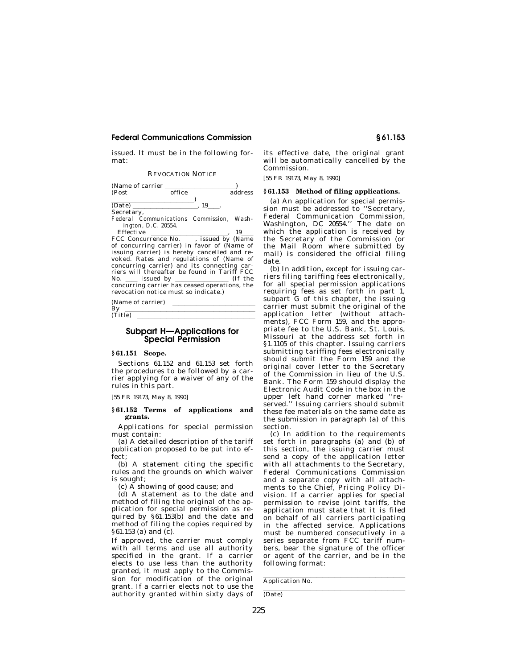issued. It must be in the following format:

REVOCATION NOTICE

| (Name of carrier)                        |        |    |         |
|------------------------------------------|--------|----|---------|
| (Post                                    | office |    | address |
|                                          |        |    |         |
| (Date)                                   |        | 19 |         |
| Secretary,                               |        |    |         |
| Federal Communications Commission, Wash- |        |    |         |

*ington, D.C. 20554.* 

Effective 19 and 19 and FCC Concurrence No. (issued by (Name FCC Concurrence No. \_\_\_, issued by (Name of concurring carrier) in favor of (Name of issuing carrier) is hereby cancelled and revoked. Rates and regulations of (Name of concurring carrier) and its connecting carriers will thereafter be found in Tariff FCC<br>No. issued by (If the No. <u>estigated</u> by <u>lettical concurring</u> carrier has ceased operations, the revocation notice must so indicate.)

(Name of carrier)

 $\frac{By}{(Title)}$  $(Title)$ 

## **Subpart H—Applications for Special Permission**

## **§ 61.151 Scope.**

Sections 61.152 and 61.153 set forth the procedures to be followed by a carrier applying for a waiver of any of the rules in this part.

[55 FR 19173, May 8, 1990]

#### **§ 61.152 Terms of applications and grants.**

Applications for special permission must contain:

(a) A detailed description of the tariff publication proposed to be put into effect;

(b) A statement citing the specific rules and the grounds on which waiver is sought;

(c) A showing of good cause; and

(d) A statement as to the date and method of filing the original of the application for special permission as required by §61.153(b) and the date and method of filing the copies required by §61.153 (a) and (c).

If approved, the carrier must comply with all terms and use all authority specified in the grant. If a carrier elects to use less than the authority granted, it must apply to the Commission for modification of the original grant. If a carrier elects not to use the authority granted within sixty days of its effective date, the original grant will be automatically cancelled by the Commission.

[55 FR 19173, May 8, 1990]

#### **§ 61.153 Method of filing applications.**

(a) An application for special permission must be addressed to ''Secretary, Federal Communication Commission, Washington, DC 20554.'' The date on which the application is received by the Secretary of the Commission (or the Mail Room where submitted by mail) is considered the official filing date.

(b) In addition, except for issuing carriers filing tariffing fees electronically, for all special permission applications requiring fees as set forth in part 1, subpart G of this chapter, the issuing carrier must submit the original of the application letter (without attachments), FCC Form 159, and the appropriate fee to the U.S. Bank, St. Louis, Missouri at the address set forth in §1.1105 of this chapter. Issuing carriers submitting tariffing fees electronically should submit the Form 159 and the original cover letter to the Secretary of the Commission in lieu of the U.S. Bank. The Form 159 should display the Electronic Audit Code in the box in the upper left hand corner marked ''reserved.'' Issuing carriers should submit these fee materials on the same date as the submission in paragraph (a) of this section.

(c) In addition to the requirements set forth in paragraphs (a) and (b) of this section, the issuing carrier must send a copy of the application letter with all attachments to the Secretary, Federal Communications Commission and a separate copy with all attachments to the Chief, Pricing Policy Division. If a carrier applies for special permission to revise joint tariffs, the application must state that it is filed on behalf of all carriers participating in the affected service. Applications must be numbered consecutively in a series separate from FCC tariff numbers, bear the signature of the officer or agent of the carrier, and be in the following format:

Application No.

(Date)